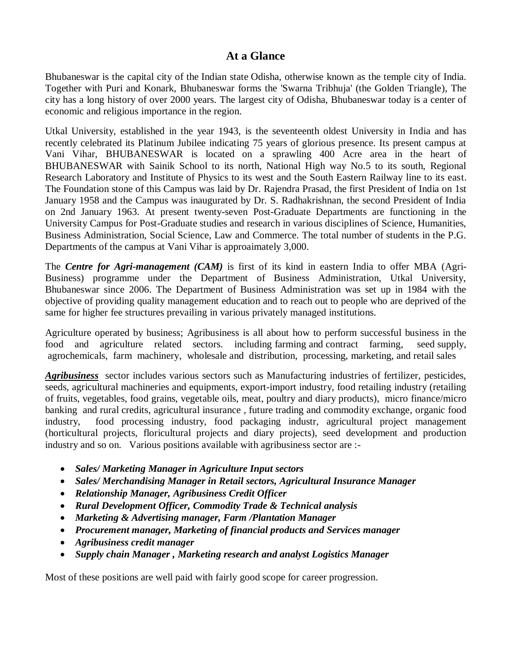# **At a Glance**

Bhubaneswar is the capital city of the [Indian state](http://en.wikipedia.org/wiki/States_and_territories_of_India) [Odisha,](http://en.wikipedia.org/wiki/Orissa) otherwise known as the temple city of India. Together with Puri and Konark, Bhubaneswar forms the 'Swarna Tribhuja' (the Golden Triangle), The city has a long history of over 2000 years. The largest city of Odisha, Bhubaneswar today is a center of economic and religious importance in the region.

Utkal University, established in the year 1943, is the seventeenth oldest University in India and has recently celebrated its Platinum Jubilee indicating 75 years of glorious presence. Its present campus at Vani Vihar, BHUBANESWAR is located on a sprawling 400 Acre area in the heart of BHUBANESWAR with Sainik School to its north, National High way No.5 to its south, Regional Research Laboratory and Institute of Physics to its west and the South Eastern Railway line to its east. The Foundation stone of this Campus was laid by Dr. Rajendra Prasad, the first President of India on 1st January 1958 and the Campus was inaugurated by Dr. S. Radhakrishnan, the second President of India on 2nd January 1963. At present twenty-seven Post-Graduate Departments are functioning in the University Campus for Post-Graduate studies and research in various disciplines of Science, Humanities, Business Administration, Social Science, Law and Commerce. The total number of students in the P.G. Departments of the campus at Vani Vihar is approaimately 3,000.

The *Centre for Agri-management (CAM)* is first of its kind in eastern India to offer MBA (Agri-Business) programme under the Department of Business Administration, Utkal University, Bhubaneswar since 2006. The Department of Business Administration was set up in 1984 with the objective of providing quality management education and to reach out to people who are deprived of the same for higher fee structures prevailing in various privately managed institutions.

Agriculture operated by business; Agribusiness is all about how to perform successful business in the food and agriculture related sectors. including [farming](http://www.answers.com/topic/agriculture) and [contract farming,](http://www.answers.com/topic/contract-farming) [seed](http://www.answers.com/topic/seed) supply, [agrochemicals,](http://www.answers.com/topic/agrichemical-1) [farm machinery,](http://www.answers.com/topic/agricultural-machinery) [wholesale](http://www.answers.com/topic/wholesale) and distribution, [processing,](http://www.answers.com/topic/convenience-food) [marketing,](http://www.answers.com/topic/marketing) and [retail](http://www.answers.com/topic/retailing) sales

*Agribusiness* sector includes various sectors such as Manufacturing industries of fertilizer, pesticides, seeds, agricultural machineries and equipments, export-import industry, food retailing industry (retailing of fruits, vegetables, food grains, vegetable oils, meat, poultry and diary products), micro finance/micro banking and rural credits, agricultural insurance , future trading and commodity exchange, organic food industry, food processing industry, food packaging industr, agricultural project management (horticultural projects, floricultural projects and diary projects), seed development and production industry and so on. Various positions available with agribusiness sector are :-

- *Sales/ Marketing Manager in Agriculture Input sectors*
- *Sales/ Merchandising Manager in Retail sectors, Agricultural Insurance Manager*
- *Relationship Manager, Agribusiness Credit Officer*
- *Rural Development Officer, Commodity Trade & Technical analysis*
- *Marketing & Advertising manager, Farm /Plantation Manager*
- *Procurement manager, Marketing of financial products and Services manager*
- *Agribusiness credit manager*
- *Supply chain Manager , Marketing research and analyst Logistics Manager*

Most of these positions are well paid with fairly good scope for career progression.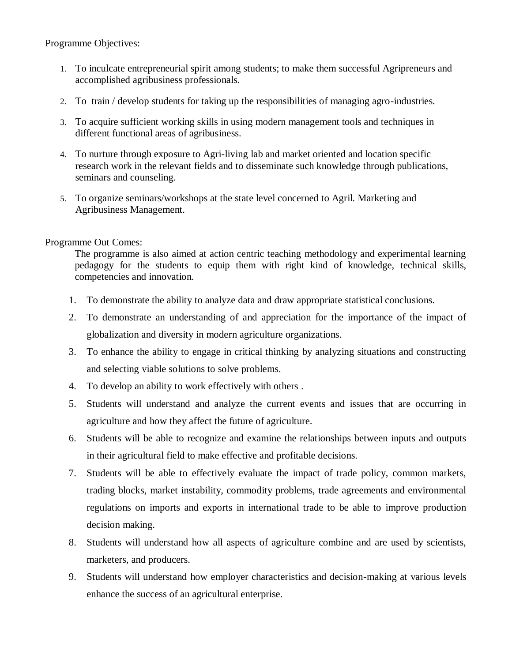Programme Objectives:

- 1. To inculcate entrepreneurial spirit among students; to make them successful Agripreneurs and accomplished agribusiness professionals.
- 2. To train / develop students for taking up the responsibilities of managing agro-industries.
- 3. To acquire sufficient working skills in using modern management tools and techniques in different functional areas of agribusiness.
- 4. To nurture through exposure to Agri-living lab and market oriented and location specific research work in the relevant fields and to disseminate such knowledge through publications, seminars and counseling.
- 5. To organize seminars/workshops at the state level concerned to Agril. Marketing and Agribusiness Management.

### Programme Out Comes:

The programme is also aimed at action centric teaching methodology and experimental learning pedagogy for the students to equip them with right kind of knowledge, technical skills, competencies and innovation.

- 1. To demonstrate the ability to analyze data and draw appropriate statistical conclusions.
- 2. To demonstrate an understanding of and appreciation for the importance of the impact of globalization and diversity in modern agriculture organizations.
- 3. To enhance the ability to engage in critical thinking by analyzing situations and constructing and selecting viable solutions to solve problems.
- 4. To develop an ability to work effectively with others .
- 5. Students will understand and analyze the current events and issues that are occurring in agriculture and how they affect the future of agriculture.
- 6. Students will be able to recognize and examine the relationships between inputs and outputs in their agricultural field to make effective and profitable decisions.
- 7. Students will be able to effectively evaluate the impact of trade policy, common markets, trading blocks, market instability, commodity problems, trade agreements and environmental regulations on imports and exports in international trade to be able to improve production decision making.
- 8. Students will understand how all aspects of agriculture combine and are used by scientists, marketers, and producers.
- 9. Students will understand how employer characteristics and decision-making at various levels enhance the success of an agricultural enterprise.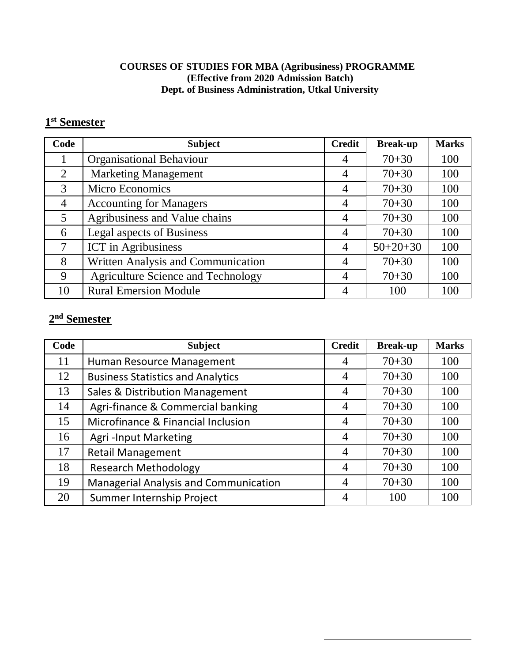# **COURSES OF STUDIES FOR MBA (Agribusiness) PROGRAMME (Effective from 2020 Admission Batch) Dept. of Business Administration, Utkal University**

# **st Semester**

| Code           | <b>Subject</b>                            |   | <b>Break-up</b> | <b>Marks</b> |
|----------------|-------------------------------------------|---|-----------------|--------------|
|                | <b>Organisational Behaviour</b>           | 4 | $70 + 30$       | 100          |
| $\overline{2}$ | <b>Marketing Management</b>               | 4 | $70 + 30$       | 100          |
| 3              | <b>Micro Economics</b>                    | 4 | $70 + 30$       | 100          |
| $\overline{4}$ | <b>Accounting for Managers</b>            |   | $70 + 30$       | 100          |
| 5              | Agribusiness and Value chains             |   | $70 + 30$       | 100          |
| 6              | Legal aspects of Business                 |   | $70 + 30$       | 100          |
| 7              | <b>ICT</b> in Agribusiness                |   | $50+20+30$      | 100          |
| 8              | Written Analysis and Communication        |   | $70 + 30$       | 100          |
| 9              | <b>Agriculture Science and Technology</b> |   | $70 + 30$       | 100          |
| 10             | <b>Rural Emersion Module</b>              |   | 100             | 100          |

# **nd Semester**

| Code | <b>Subject</b>                               |                | <b>Break-up</b> | <b>Marks</b> |
|------|----------------------------------------------|----------------|-----------------|--------------|
| 11   | Human Resource Management                    | 4              | $70 + 30$       | 100          |
| 12   | <b>Business Statistics and Analytics</b>     | $\overline{4}$ | $70 + 30$       | 100          |
| 13   | Sales & Distribution Management              | $\overline{4}$ | $70 + 30$       | 100          |
| 14   | Agri-finance & Commercial banking            |                | $70 + 30$       | 100          |
| 15   | Microfinance & Financial Inclusion           |                | $70 + 30$       | 100          |
| 16   | <b>Agri-Input Marketing</b>                  |                | $70 + 30$       | 100          |
| 17   | <b>Retail Management</b>                     | $\overline{4}$ | $70 + 30$       | 100          |
| 18   | <b>Research Methodology</b>                  | $\overline{4}$ | $70 + 30$       | 100          |
| 19   | <b>Managerial Analysis and Communication</b> | $\overline{4}$ | $70 + 30$       | 100          |
| 20   | Summer Internship Project                    | 4              | 100             | 100          |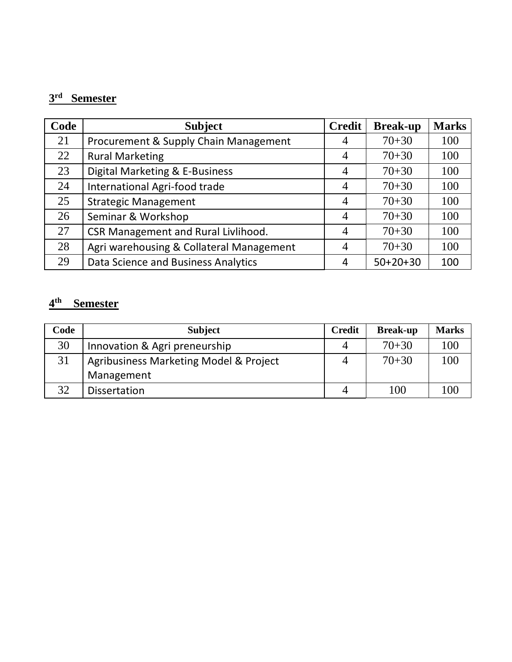# **rd Semester**

| Code | <b>Subject</b>                             | <b>Credit</b> | <b>Break-up</b> | <b>Marks</b> |
|------|--------------------------------------------|---------------|-----------------|--------------|
| 21   | Procurement & Supply Chain Management      | 4             | $70 + 30$       | 100          |
| 22   | <b>Rural Marketing</b>                     | 4             | $70 + 30$       | 100          |
| 23   | Digital Marketing & E-Business             |               | $70 + 30$       | 100          |
| 24   | International Agri-food trade              |               | $70 + 30$       | 100          |
| 25   | <b>Strategic Management</b>                |               | $70 + 30$       | 100          |
| 26   | Seminar & Workshop                         |               | $70 + 30$       | 100          |
| 27   | <b>CSR Management and Rural Livlihood.</b> |               | $70 + 30$       | 100          |
| 28   | Agri warehousing & Collateral Management   |               | $70 + 30$       | 100          |
| 29   | Data Science and Business Analytics        | 4             | $50+20+30$      | 100          |

# **th Semester**

| Code | <b>Subject</b>                         |   | <b>Break-up</b> | <b>Marks</b> |
|------|----------------------------------------|---|-----------------|--------------|
| 30   | Innovation & Agri preneurship          |   | $70 + 30$       | 100          |
| 31   | Agribusiness Marketing Model & Project |   | $70 + 30$       | 100          |
|      | Management                             |   |                 |              |
| 32   | <b>Dissertation</b>                    | 4 | 100             |              |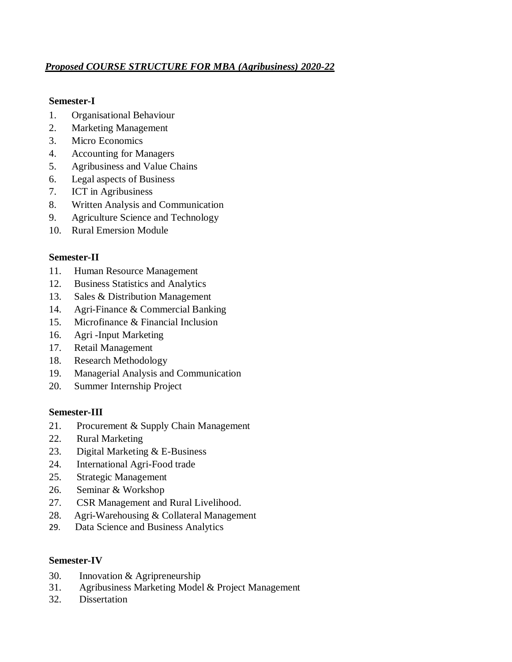# *Proposed COURSE STRUCTURE FOR MBA (Agribusiness) 2020-22*

## **Semester-I**

- 1. Organisational Behaviour
- 2. Marketing Management
- 3. Micro Economics
- 4. Accounting for Managers
- 5. Agribusiness and Value Chains
- 6. Legal aspects of Business
- 7. ICT in Agribusiness
- 8. Written Analysis and Communication
- 9. Agriculture Science and Technology
- 10. Rural Emersion Module

# **Semester-II**

- 11. Human Resource Management
- 12. Business Statistics and Analytics
- 13. Sales & Distribution Management
- 14. Agri-Finance & Commercial Banking
- 15. Microfinance & Financial Inclusion
- 16. Agri -Input Marketing
- 17. Retail Management
- 18. Research Methodology
- 19. Managerial Analysis and Communication
- 20. Summer Internship Project

# **Semester-III**

- 21. Procurement & Supply Chain Management
- 22. Rural Marketing
- 23. Digital Marketing & E-Business
- 24. International Agri-Food trade
- 25. Strategic Management
- 26. Seminar & Workshop
- 27. CSR Management and Rural Livelihood.
- 28. Agri-Warehousing & Collateral Management
- 29. Data Science and Business Analytics

# **Semester-IV**

- 30. Innovation & Agripreneurship
- 31. Agribusiness Marketing Model & Project Management
- 32. Dissertation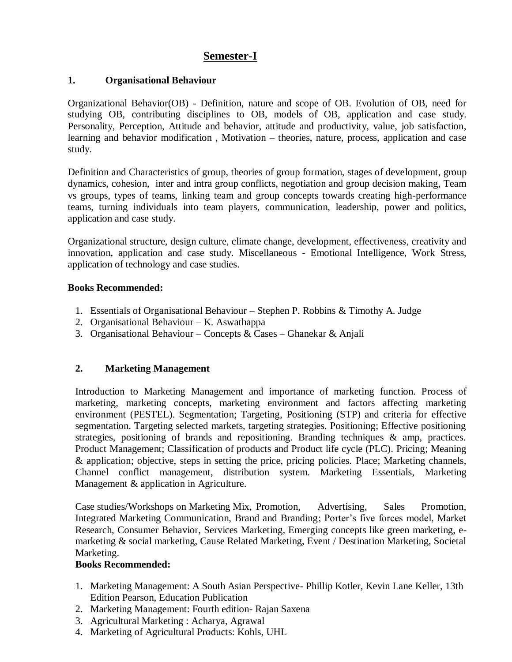# **Semester-I**

# **1. Organisational Behaviour**

Organizational Behavior(OB) - Definition, nature and scope of OB. Evolution of OB, need for studying OB, contributing disciplines to OB, models of OB, application and case study. Personality, Perception, Attitude and behavior, attitude and productivity, value, job satisfaction, learning and behavior modification , Motivation – theories, nature, process, application and case study.

Definition and Characteristics of group, theories of group formation, stages of development, group dynamics, cohesion, inter and intra group conflicts, negotiation and group decision making, Team vs groups, types of teams, linking team and group concepts towards creating high-performance teams, turning individuals into team players, communication, leadership, power and politics, application and case study.

Organizational structure, design culture, climate change, development, effectiveness, creativity and innovation, application and case study. Miscellaneous - Emotional Intelligence, Work Stress, application of technology and case studies.

# **Books Recommended:**

- 1. Essentials of Organisational Behaviour Stephen P. Robbins & Timothy A. Judge
- 2. Organisational Behaviour K. Aswathappa
- 3. Organisational Behaviour Concepts & Cases Ghanekar & Anjali

# **2. Marketing Management**

Introduction to Marketing Management and importance of marketing function. Process of marketing, marketing concepts, marketing environment and factors affecting marketing environment (PESTEL). Segmentation; Targeting, Positioning (STP) and criteria for effective segmentation. Targeting selected markets, targeting strategies. Positioning; Effective positioning strategies, positioning of brands and repositioning. Branding techniques & amp, practices. Product Management; Classification of products and Product life cycle (PLC). Pricing; Meaning & application; objective, steps in setting the price, pricing policies. Place; Marketing channels, Channel conflict management, distribution system. Marketing Essentials, Marketing Management & application in Agriculture.

Case studies/Workshops on Marketing Mix, Promotion, Advertising, Sales Promotion, Integrated Marketing Communication, Brand and Branding; Porter's five forces model, Market Research, Consumer Behavior, Services Marketing, Emerging concepts like green marketing, emarketing & social marketing, Cause Related Marketing, Event / Destination Marketing, Societal Marketing.

# **Books Recommended:**

- 1. Marketing Management: A South Asian Perspective- Phillip Kotler, Kevin Lane Keller, 13th Edition Pearson, Education Publication
- 2. Marketing Management: Fourth edition- Rajan Saxena
- 3. Agricultural Marketing : Acharya, Agrawal
- 4. Marketing of Agricultural Products: Kohls, UHL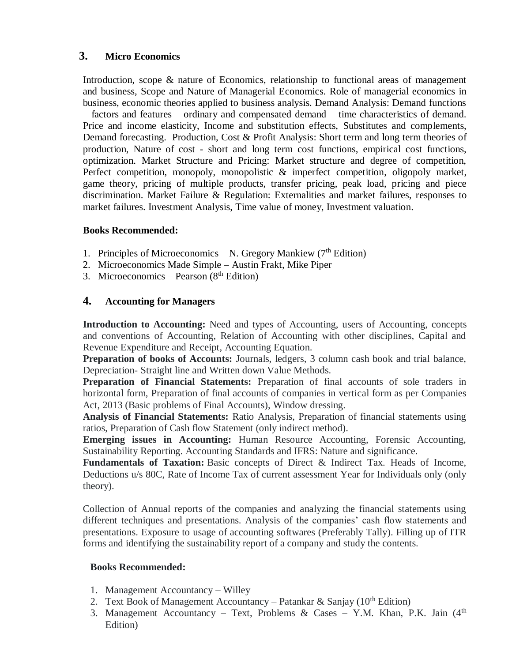# **3. Micro Economics**

Introduction, scope & nature of Economics, relationship to functional areas of management and business, Scope and Nature of Managerial Economics. Role of managerial economics in business, economic theories applied to business analysis. Demand Analysis: Demand functions – factors and features – ordinary and compensated demand – time characteristics of demand. Price and income elasticity, Income and substitution effects, Substitutes and complements, Demand forecasting. Production, Cost & Profit Analysis: Short term and long term theories of production, Nature of cost - short and long term cost functions, empirical cost functions, optimization. Market Structure and Pricing: Market structure and degree of competition, Perfect competition, monopoly, monopolistic & imperfect competition, oligopoly market, game theory, pricing of multiple products, transfer pricing, peak load, pricing and piece discrimination. Market Failure & Regulation: Externalities and market failures, responses to market failures. Investment Analysis, Time value of money, Investment valuation.

# **Books Recommended:**

- 1. Principles of Microeconomics N. Gregory Mankiew  $(7<sup>th</sup> Edition)$
- 2. Microeconomics Made Simple Austin Frakt, Mike Piper
- 3. Microeconomics Pearson  $(8<sup>th</sup> Edition)$

# **4. Accounting for Managers**

**Introduction to Accounting:** Need and types of Accounting, users of Accounting, concepts and conventions of Accounting, Relation of Accounting with other disciplines, Capital and Revenue Expenditure and Receipt, Accounting Equation.

**Preparation of books of Accounts:** Journals, ledgers, 3 column cash book and trial balance, Depreciation- Straight line and Written down Value Methods.

**Preparation of Financial Statements:** Preparation of final accounts of sole traders in horizontal form, Preparation of final accounts of companies in vertical form as per Companies Act, 2013 (Basic problems of Final Accounts), Window dressing.

**Analysis of Financial Statements:** Ratio Analysis, Preparation of financial statements using ratios, Preparation of Cash flow Statement (only indirect method).

**Emerging issues in Accounting:** Human Resource Accounting, Forensic Accounting, Sustainability Reporting. Accounting Standards and IFRS: Nature and significance.

**Fundamentals of Taxation:** Basic concepts of Direct & Indirect Tax. Heads of Income, Deductions u/s 80C, Rate of Income Tax of current assessment Year for Individuals only (only theory).

Collection of Annual reports of the companies and analyzing the financial statements using different techniques and presentations. Analysis of the companies' cash flow statements and presentations. Exposure to usage of accounting softwares (Preferably Tally). Filling up of ITR forms and identifying the sustainability report of a company and study the contents.

# **Books Recommended:**

- 1. Management Accountancy Willey
- 2. Text Book of Management Accountancy Patankar & Sanjay ( $10^{th}$  Edition)
- 3. Management Accountancy Text, Problems & Cases Y.M. Khan, P.K. Jain  $(4<sup>th</sup>$ Edition)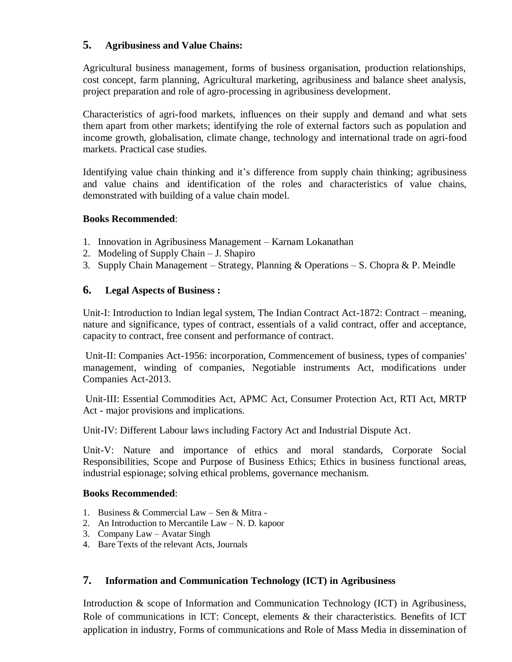# **5. Agribusiness and Value Chains:**

Agricultural business management, forms of business organisation, production relationships, cost concept, farm planning, Agricultural marketing, agribusiness and balance sheet analysis, project preparation and role of agro-processing in agribusiness development.

Characteristics of agri-food markets, influences on their supply and demand and what sets them apart from other markets; identifying the role of external factors such as population and income growth, globalisation, climate change, technology and international trade on agri-food markets. Practical case studies.

Identifying value chain thinking and it's difference from supply chain thinking; agribusiness and value chains and identification of the roles and characteristics of value chains, demonstrated with building of a value chain model.

### **Books Recommended**:

- 1. Innovation in Agribusiness Management Karnam Lokanathan
- 2. Modeling of Supply Chain J. Shapiro
- 3. Supply Chain Management Strategy, Planning & Operations S. Chopra & P. Meindle

### **6. Legal Aspects of Business :**

Unit-I: Introduction to lndian legal system, The Indian Contract Act-1872: Contract – meaning, nature and significance, types of contract, essentials of a valid contract, offer and acceptance, capacity to contract, free consent and performance of contract.

Unit-II: Companies Act-1956: incorporation, Commencement of business, types of companies' management, winding of companies, Negotiable instruments Act, modifications under Companies Act-2013.

Unit-III: Essential Commodities Act, APMC Act, Consumer Protection Act, RTI Act, MRTP Act - major provisions and implications.

Unit-IV: Different Labour laws including Factory Act and Industrial Dispute Act.

Unit-V: Nature and importance of ethics and moral standards, Corporate Social Responsibilities, Scope and Purpose of Business Ethics; Ethics in business functional areas, industrial espionage; solving ethical problems, governance mechanism.

#### **Books Recommended**:

- 1. Business & Commercial Law Sen & Mitra -
- 2. An Introduction to Mercantile Law N. D. kapoor
- 3. Company Law Avatar Singh
- 4. Bare Texts of the relevant Acts, Journals

## **7. Information and Communication Technology (ICT) in Agribusiness**

Introduction & scope of Information and Communication Technology (ICT) in Agribusiness, Role of communications in ICT: Concept, elements & their characteristics. Benefits of ICT application in industry, Forms of communications and Role of Mass Media in dissemination of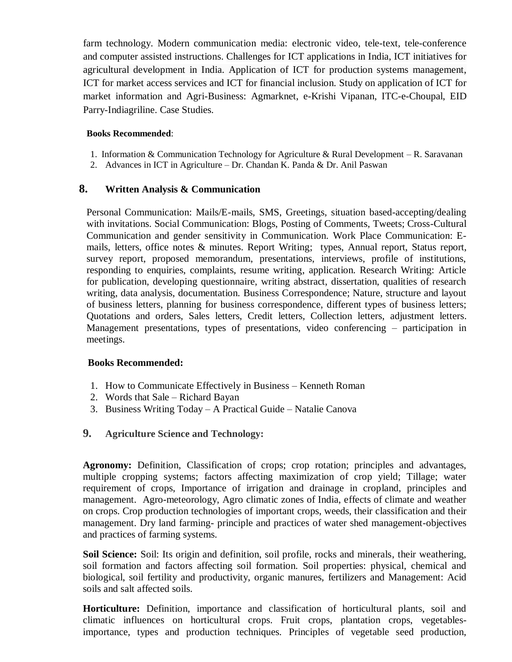farm technology. Modern communication media: electronic video, tele-text, tele-conference and computer assisted instructions. Challenges for ICT applications in India, ICT initiatives for agricultural development in India. Application of ICT for production systems management, ICT for market access services and ICT for financial inclusion. Study on application of ICT for market information and Agri-Business: Agmarknet, e-Krishi Vipanan, ITC-e-Choupal, EID Parry-Indiagriline. Case Studies.

#### **Books Recommended**:

- 1. Information & Communication Technology for Agriculture & Rural Development R. Saravanan
- 2. Advances in ICT in Agriculture Dr. Chandan K. Panda & Dr. Anil Paswan

# **8. Written Analysis & Communication**

Personal Communication: Mails/E-mails, SMS, Greetings, situation based-accepting/dealing with invitations. Social Communication: Blogs, Posting of Comments, Tweets; Cross-Cultural Communication and gender sensitivity in Communication. Work Place Communication: Emails, letters, office notes & minutes. Report Writing; types, Annual report, Status report, survey report, proposed memorandum, presentations, interviews, profile of institutions, responding to enquiries, complaints, resume writing, application. Research Writing: Article for publication, developing questionnaire, writing abstract, dissertation, qualities of research writing, data analysis, documentation. Business Correspondence; Nature, structure and layout of business letters, planning for business correspondence, different types of business letters; Quotations and orders, Sales letters, Credit letters, Collection letters, adjustment letters. Management presentations, types of presentations, video conferencing – participation in meetings.

#### **Books Recommended:**

- 1. How to Communicate Effectively in Business Kenneth Roman
- 2. Words that Sale Richard Bayan
- 3. Business Writing Today A Practical Guide Natalie Canova
- **9. Agriculture Science and Technology:**

**Agronomy:** Definition, Classification of crops; crop rotation; principles and advantages, multiple cropping systems; factors affecting maximization of crop yield; Tillage; water requirement of crops, Importance of irrigation and drainage in cropland, principles and management. Agro-meteorology, Agro climatic zones of India, effects of climate and weather on crops. Crop production technologies of important crops, weeds, their classification and their management. Dry land farming- principle and practices of water shed management-objectives and practices of farming systems.

**Soil Science:** Soil: Its origin and definition, soil profile, rocks and minerals, their weathering, soil formation and factors affecting soil formation. Soil properties: physical, chemical and biological, soil fertility and productivity, organic manures, fertilizers and Management: Acid soils and salt affected soils.

**Horticulture:** Definition, importance and classification of horticultural plants, soil and climatic influences on horticultural crops. Fruit crops, plantation crops, vegetablesimportance, types and production techniques. Principles of vegetable seed production,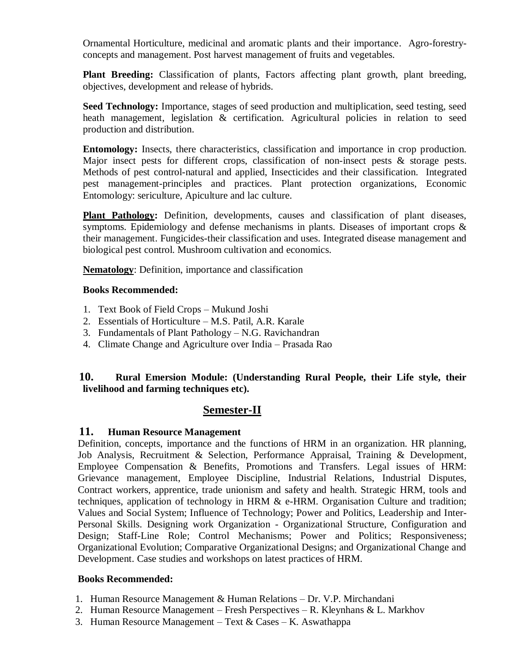Ornamental Horticulture, medicinal and aromatic plants and their importance. Agro-forestryconcepts and management. Post harvest management of fruits and vegetables.

**Plant Breeding:** Classification of plants, Factors affecting plant growth, plant breeding, objectives, development and release of hybrids.

**Seed Technology:** Importance, stages of seed production and multiplication, seed testing, seed heath management, legislation & certification. Agricultural policies in relation to seed production and distribution.

**Entomology:** Insects, there characteristics, classification and importance in crop production. Major insect pests for different crops, classification of non-insect pests & storage pests. Methods of pest control-natural and applied, Insecticides and their classification. Integrated pest management-principles and practices. Plant protection organizations, Economic Entomology: sericulture, Apiculture and lac culture.

**Plant Pathology:** Definition, developments, causes and classification of plant diseases, symptoms. Epidemiology and defense mechanisms in plants. Diseases of important crops & their management. Fungicides-their classification and uses. Integrated disease management and biological pest control. Mushroom cultivation and economics.

**Nematology**: Definition, importance and classification

### **Books Recommended:**

- 1. Text Book of Field Crops Mukund Joshi
- 2. Essentials of Horticulture M.S. Patil, A.R. Karale
- 3. Fundamentals of Plant Pathology N.G. Ravichandran
- 4. Climate Change and Agriculture over India Prasada Rao

# **10. Rural Emersion Module: (Understanding Rural People, their Life style, their livelihood and farming techniques etc).**

# **Semester-II**

# **11. Human Resource Management**

Definition, concepts, importance and the functions of HRM in an organization. HR planning, Job Analysis, Recruitment & Selection, Performance Appraisal, Training & Development, Employee Compensation & Benefits, Promotions and Transfers. Legal issues of HRM: Grievance management, Employee Discipline, Industrial Relations, Industrial Disputes, Contract workers, apprentice, trade unionism and safety and health. Strategic HRM, tools and techniques, application of technology in HRM  $\&$  e-HRM. Organisation Culture and tradition; Values and Social System; Influence of Technology; Power and Politics, Leadership and Inter-Personal Skills. Designing work Organization - Organizational Structure, Configuration and Design; Staff-Line Role; Control Mechanisms; Power and Politics; Responsiveness; Organizational Evolution; Comparative Organizational Designs; and Organizational Change and Development. Case studies and workshops on latest practices of HRM.

#### **Books Recommended:**

- 1. Human Resource Management & Human Relations Dr. V.P. Mirchandani
- 2. Human Resource Management Fresh Perspectives R. Kleynhans & L. Markhov
- 3. Human Resource Management Text  $& \text{Cases} \text{K}$ . Aswathappa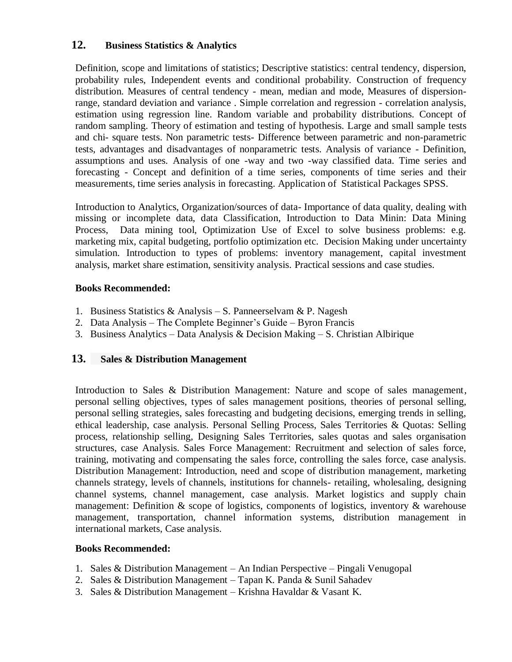# **12. Business Statistics & Analytics**

Definition, scope and limitations of statistics; Descriptive statistics: central tendency, dispersion, probability rules, Independent events and conditional probability. Construction of frequency distribution. Measures of central tendency - mean, median and mode, Measures of dispersionrange, standard deviation and variance . Simple correlation and regression - correlation analysis, estimation using regression line. Random variable and probability distributions. Concept of random sampling. Theory of estimation and testing of hypothesis. Large and small sample tests and chi- square tests. Non parametric tests- Difference between parametric and non-parametric tests, advantages and disadvantages of nonparametric tests. Analysis of variance - Definition, assumptions and uses. Analysis of one -way and two -way classified data. Time series and forecasting - Concept and definition of a time series, components of time series and their measurements, time series analysis in forecasting. Application of Statistical Packages SPSS.

Introduction to Analytics, Organization/sources of data- Importance of data quality, dealing with missing or incomplete data, data Classification, Introduction to Data Minin: Data Mining Process, Data mining tool, Optimization Use of Excel to solve business problems: e.g. marketing mix, capital budgeting, portfolio optimization etc. Decision Making under uncertainty simulation. Introduction to types of problems: inventory management, capital investment analysis, market share estimation, sensitivity analysis. Practical sessions and case studies.

# **Books Recommended:**

- 1. Business Statistics & Analysis S. Panneerselvam & P. Nagesh
- 2. Data Analysis The Complete Beginner's Guide Byron Francis
- 3. Business Analytics Data Analysis & Decision Making S. Christian Albirique

# **13. Sales & Distribution Management**

Introduction to Sales & Distribution Management: Nature and scope of sales management, personal selling objectives, types of sales management positions, theories of personal selling, personal selling strategies, sales forecasting and budgeting decisions, emerging trends in selling, ethical leadership, case analysis. Personal Selling Process, Sales Territories & Quotas: Selling process, relationship selling, Designing Sales Territories, sales quotas and sales organisation structures, case Analysis. Sales Force Management: Recruitment and selection of sales force, training, motivating and compensating the sales force, controlling the sales force, case analysis. Distribution Management: Introduction, need and scope of distribution management, marketing channels strategy, levels of channels, institutions for channels- retailing, wholesaling, designing channel systems, channel management, case analysis. Market logistics and supply chain management: Definition & scope of logistics, components of logistics, inventory & warehouse management, transportation, channel information systems, distribution management in international markets, Case analysis.

#### **Books Recommended:**

- 1. Sales & Distribution Management An Indian Perspective Pingali Venugopal
- 2. Sales & Distribution Management Tapan K. Panda & Sunil Sahadev
- 3. Sales & Distribution Management Krishna Havaldar & Vasant K.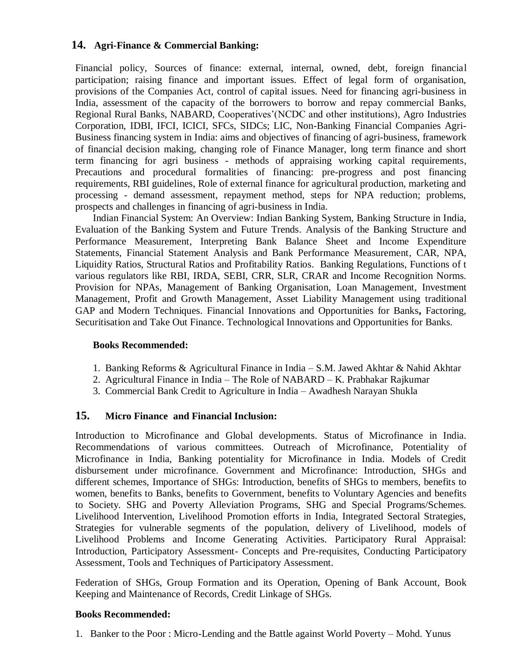# **14. Agri-Finance & Commercial Banking:**

Financial policy, Sources of finance: external, internal, owned, debt, foreign financial participation; raising finance and important issues. Effect of legal form of organisation, provisions of the Companies Act, control of capital issues. Need for financing agri-business in India, assessment of the capacity of the borrowers to borrow and repay commercial Banks, Regional Rural Banks, NABARD, Cooperatives'(NCDC and other institutions), Agro Industries Corporation, IDBI, IFCI, ICICI, SFCs, SIDCs; LIC, Non-Banking Financial Companies Agri-Business financing system in India: aims and objectives of financing of agri-business, framework of financial decision making, changing role of Finance Manager, long term finance and short term financing for agri business - methods of appraising working capital requirements, Precautions and procedural formalities of financing: pre-progress and post financing requirements, RBI guidelines, Role of external finance for agricultural production, marketing and processing - demand assessment, repayment method, steps for NPA reduction; problems, prospects and challenges in financing of agri-business in India.

Indian Financial System: An Overview: Indian Banking System, Banking Structure in India, Evaluation of the Banking System and Future Trends. Analysis of the Banking Structure and Performance Measurement, Interpreting Bank Balance Sheet and Income Expenditure Statements, Financial Statement Analysis and Bank Performance Measurement, CAR, NPA, Liquidity Ratios, Structural Ratios and Profitability Ratios. Banking Regulations, Functions of t various regulators like RBI, IRDA, SEBI, CRR, SLR, CRAR and Income Recognition Norms. Provision for NPAs, Management of Banking Organisation, Loan Management, Investment Management, Profit and Growth Management, Asset Liability Management using traditional GAP and Modern Techniques. Financial Innovations and Opportunities for Banks**,** Factoring, Securitisation and Take Out Finance. Technological Innovations and Opportunities for Banks.

#### **Books Recommended:**

- 1. Banking Reforms & Agricultural Finance in India S.M. Jawed Akhtar & Nahid Akhtar
- 2. Agricultural Finance in India The Role of NABARD K. Prabhakar Rajkumar
- 3. Commercial Bank Credit to Agriculture in India Awadhesh Narayan Shukla

# **15. Micro Finance and Financial Inclusion:**

Introduction to Microfinance and Global developments. Status of Microfinance in India. Recommendations of various committees. Outreach of Microfinance, Potentiality of Microfinance in India, Banking potentiality for Microfinance in India. Models of Credit disbursement under microfinance. Government and Microfinance: Introduction, SHGs and different schemes, Importance of SHGs: Introduction, benefits of SHGs to members, benefits to women, benefits to Banks, benefits to Government, benefits to Voluntary Agencies and benefits to Society. SHG and Poverty Alleviation Programs, SHG and Special Programs/Schemes. Livelihood Intervention, Livelihood Promotion efforts in India, Integrated Sectoral Strategies, Strategies for vulnerable segments of the population, delivery of Livelihood, models of Livelihood Problems and Income Generating Activities. Participatory Rural Appraisal: Introduction, Participatory Assessment- Concepts and Pre-requisites, Conducting Participatory Assessment, Tools and Techniques of Participatory Assessment.

Federation of SHGs, Group Formation and its Operation, Opening of Bank Account, Book Keeping and Maintenance of Records, Credit Linkage of SHGs.

#### **Books Recommended:**

1. Banker to the Poor : Micro-Lending and the Battle against World Poverty – Mohd. Yunus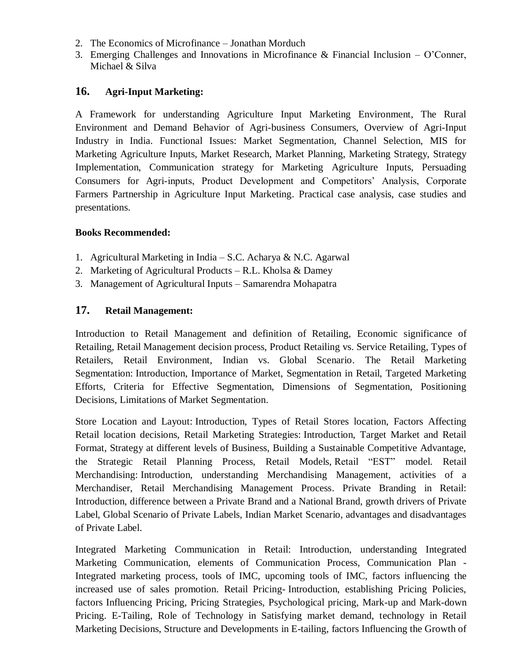- 2. The Economics of Microfinance Jonathan Morduch
- 3. Emerging Challenges and Innovations in Microfinance & Financial Inclusion O'Conner, Michael & Silva

# **16. Agri-Input Marketing:**

A Framework for understanding Agriculture Input Marketing Environment, The Rural Environment and Demand Behavior of Agri-business Consumers, Overview of Agri-Input Industry in India. Functional Issues: Market Segmentation, Channel Selection, MIS for Marketing Agriculture Inputs, Market Research, Market Planning, Marketing Strategy, Strategy Implementation, Communication strategy for Marketing Agriculture Inputs, Persuading Consumers for Agri-inputs, Product Development and Competitors' Analysis, Corporate Farmers Partnership in Agriculture Input Marketing. Practical case analysis, case studies and presentations.

# **Books Recommended:**

- 1. Agricultural Marketing in India S.C. Acharya & N.C. Agarwal
- 2. Marketing of Agricultural Products R.L. Kholsa & Damey
- 3. Management of Agricultural Inputs Samarendra Mohapatra

# **17. Retail Management:**

Introduction to Retail Management and definition of Retailing, Economic significance of Retailing, Retail Management decision process, Product Retailing vs. Service Retailing, Types of Retailers, Retail Environment, Indian vs. Global Scenario. The Retail Marketing Segmentation: Introduction, Importance of Market, Segmentation in Retail, Targeted Marketing Efforts, Criteria for Effective Segmentation, Dimensions of Segmentation, Positioning Decisions, Limitations of Market Segmentation.

Store Location and Layout: Introduction, Types of Retail Stores location, Factors Affecting Retail location decisions, Retail Marketing Strategies: Introduction, Target Market and Retail Format, Strategy at different levels of Business, Building a Sustainable Competitive Advantage, the Strategic Retail Planning Process, Retail Models, Retail "EST" model. Retail Merchandising: Introduction, understanding Merchandising Management, activities of a Merchandiser, Retail Merchandising Management Process. Private Branding in Retail: Introduction, difference between a Private Brand and a National Brand, growth drivers of Private Label, Global Scenario of Private Labels, Indian Market Scenario, advantages and disadvantages of Private Label.

Integrated Marketing Communication in Retail: Introduction, understanding Integrated Marketing Communication, elements of Communication Process, Communication Plan - Integrated marketing process, tools of IMC, upcoming tools of IMC, factors influencing the increased use of sales promotion. Retail Pricing- Introduction, establishing Pricing Policies, factors Influencing Pricing, Pricing Strategies, Psychological pricing, Mark-up and Mark-down Pricing. E-Tailing, Role of Technology in Satisfying market demand, technology in Retail Marketing Decisions, Structure and Developments in E-tailing, factors Influencing the Growth of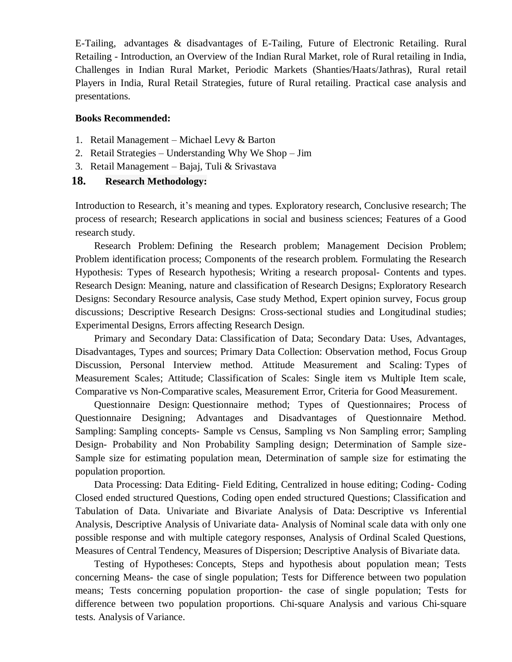E-Tailing, advantages & disadvantages of E-Tailing, Future of Electronic Retailing. Rural Retailing - Introduction, an Overview of the Indian Rural Market, role of Rural retailing in India, Challenges in Indian Rural Market, Periodic Markets (Shanties/Haats/Jathras), Rural retail Players in India, Rural Retail Strategies, future of Rural retailing. Practical case analysis and presentations.

#### **Books Recommended:**

- 1. Retail Management Michael Levy & Barton
- 2. Retail Strategies Understanding Why We Shop Jim
- 3. Retail Management Bajaj, Tuli & Srivastava

## **18. Research Methodology:**

Introduction to Research, it's meaning and types. Exploratory research, Conclusive research; The process of research; Research applications in social and business sciences; Features of a Good research study.

Research Problem: Defining the Research problem; Management Decision Problem; Problem identification process; Components of the research problem. Formulating the Research Hypothesis: Types of Research hypothesis; Writing a research proposal- Contents and types. Research Design: Meaning, nature and classification of Research Designs; Exploratory Research Designs: Secondary Resource analysis, Case study Method, Expert opinion survey, Focus group discussions; Descriptive Research Designs: Cross-sectional studies and Longitudinal studies; Experimental Designs, Errors affecting Research Design.

Primary and Secondary Data: Classification of Data; Secondary Data: Uses, Advantages, Disadvantages, Types and sources; Primary Data Collection: Observation method, Focus Group Discussion, Personal Interview method. Attitude Measurement and Scaling: Types of Measurement Scales; Attitude; Classification of Scales: Single item vs Multiple Item scale, Comparative vs Non-Comparative scales, Measurement Error, Criteria for Good Measurement.

Questionnaire Design: Questionnaire method; Types of Questionnaires; Process of Questionnaire Designing; Advantages and Disadvantages of Questionnaire Method. Sampling: Sampling concepts- Sample vs Census, Sampling vs Non Sampling error; Sampling Design- Probability and Non Probability Sampling design; Determination of Sample size-Sample size for estimating population mean, Determination of sample size for estimating the population proportion.

Data Processing: Data Editing- Field Editing, Centralized in house editing; Coding- Coding Closed ended structured Questions, Coding open ended structured Questions; Classification and Tabulation of Data. Univariate and Bivariate Analysis of Data: Descriptive vs Inferential Analysis, Descriptive Analysis of Univariate data- Analysis of Nominal scale data with only one possible response and with multiple category responses, Analysis of Ordinal Scaled Questions, Measures of Central Tendency, Measures of Dispersion; Descriptive Analysis of Bivariate data.

Testing of Hypotheses: Concepts, Steps and hypothesis about population mean; Tests concerning Means- the case of single population; Tests for Difference between two population means; Tests concerning population proportion- the case of single population; Tests for difference between two population proportions. Chi-square Analysis and various Chi-square tests. Analysis of Variance.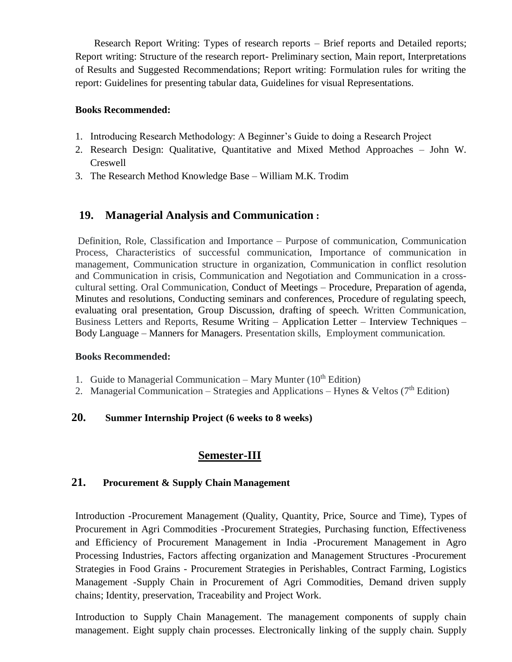Research Report Writing: Types of research reports – Brief reports and Detailed reports; Report writing: Structure of the research report- Preliminary section, Main report, Interpretations of Results and Suggested Recommendations; Report writing: Formulation rules for writing the report: Guidelines for presenting tabular data, Guidelines for visual Representations.

## **Books Recommended:**

- 1. Introducing Research Methodology: A Beginner's Guide to doing a Research Project
- 2. Research Design: Qualitative, Quantitative and Mixed Method Approaches John W. Creswell
- 3. The Research Method Knowledge Base William M.K. Trodim

# **19. Managerial Analysis and Communication :**

Definition, Role, Classification and Importance – Purpose of communication, Communication Process, Characteristics of successful communication, Importance of communication in management, Communication structure in organization, Communication in conflict resolution and Communication in crisis, Communication and Negotiation and Communication in a crosscultural setting. Oral Communication, Conduct of Meetings – Procedure, Preparation of agenda, Minutes and resolutions, Conducting seminars and conferences, Procedure of regulating speech, evaluating oral presentation, Group Discussion, drafting of speech. Written Communication, Business Letters and Reports, Resume Writing – Application Letter – Interview Techniques – Body Language – Manners for Managers. Presentation skills, Employment communication.

# **Books Recommended:**

- 1. Guide to Managerial Communication Mary Munter  $(10<sup>th</sup> Edition)$
- 2. Managerial Communication Strategies and Applications Hynes & Veltos ( $7<sup>th</sup>$  Edition)

# **20. Summer Internship Project (6 weeks to 8 weeks)**

# **Semester-III**

# **21. Procurement & Supply Chain Management**

Introduction -Procurement Management (Quality, Quantity, Price, Source and Time), Types of Procurement in Agri Commodities -Procurement Strategies, Purchasing function, Effectiveness and Efficiency of Procurement Management in India -Procurement Management in Agro Processing Industries, Factors affecting organization and Management Structures -Procurement Strategies in Food Grains - Procurement Strategies in Perishables, Contract Farming, Logistics Management -Supply Chain in Procurement of Agri Commodities, Demand driven supply chains; Identity, preservation, Traceability and Project Work.

Introduction to Supply Chain Management. The management components of supply chain management. Eight supply chain processes. Electronically linking of the supply chain. Supply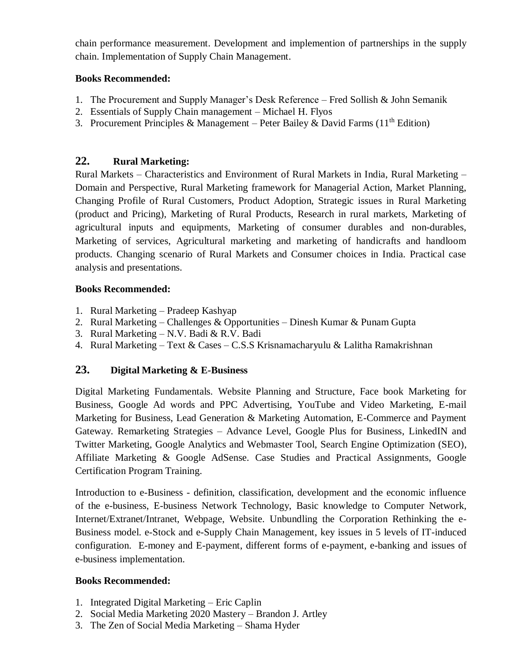chain performance measurement. Development and implemention of partnerships in the supply chain. Implementation of Supply Chain Management.

# **Books Recommended:**

- 1. The Procurement and Supply Manager's Desk Reference Fred Sollish & John Semanik
- 2. Essentials of Supply Chain management Michael H. Flyos
- 3. Procurement Principles & Management Peter Bailey & David Farms (11<sup>th</sup> Edition)

# **22. Rural Marketing:**

Rural Markets – Characteristics and Environment of Rural Markets in India, Rural Marketing – Domain and Perspective, Rural Marketing framework for Managerial Action, Market Planning, Changing Profile of Rural Customers, Product Adoption, Strategic issues in Rural Marketing (product and Pricing), Marketing of Rural Products, Research in rural markets, Marketing of agricultural inputs and equipments, Marketing of consumer durables and non-durables, Marketing of services, Agricultural marketing and marketing of handicrafts and handloom products. Changing scenario of Rural Markets and Consumer choices in India. Practical case analysis and presentations.

# **Books Recommended:**

- 1. Rural Marketing Pradeep Kashyap
- 2. Rural Marketing Challenges & Opportunities Dinesh Kumar & Punam Gupta
- 3. Rural Marketing N.V. Badi & R.V. Badi
- 4. Rural Marketing Text & Cases C.S.S Krisnamacharyulu & Lalitha Ramakrishnan

# **23. Digital Marketing & E-Business**

Digital Marketing Fundamentals. Website Planning and Structure, Face book Marketing for Business, Google Ad words and PPC Advertising, YouTube and Video Marketing, E-mail Marketing for Business, Lead Generation & Marketing Automation, E-Commerce and Payment Gateway. Remarketing Strategies – Advance Level, Google Plus for Business, LinkedIN and Twitter Marketing, Google Analytics and Webmaster Tool, Search Engine Optimization (SEO), Affiliate Marketing & Google AdSense. Case Studies and Practical Assignments, Google Certification Program Training.

Introduction to e-Business - definition, classification, development and the economic influence of the e-business, E-business Network Technology, Basic knowledge to Computer Network, Internet/Extranet/Intranet, Webpage, Website. Unbundling the Corporation Rethinking the e-Business model. e-Stock and e-Supply Chain Management, key issues in 5 levels of IT-induced configuration. E-money and E-payment, different forms of e-payment, e-banking and issues of e-business implementation.

# **Books Recommended:**

- 1. Integrated Digital Marketing Eric Caplin
- 2. Social Media Marketing 2020 Mastery Brandon J. Artley
- 3. The Zen of Social Media Marketing Shama Hyder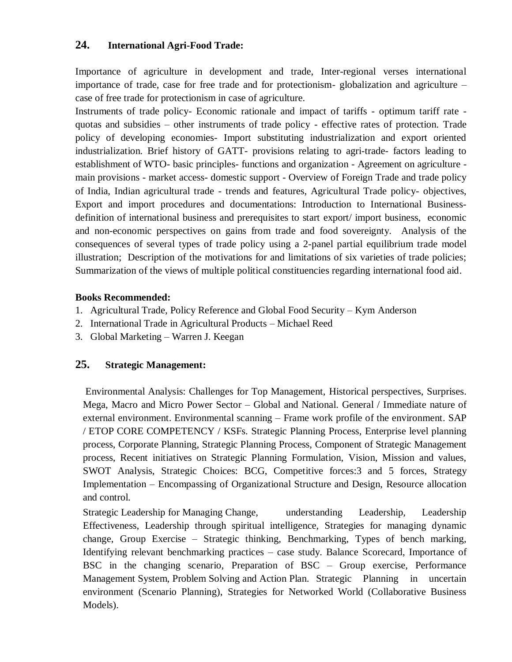# **24. International Agri-Food Trade:**

Importance of agriculture in development and trade, Inter-regional verses international importance of trade, case for free trade and for protectionism- globalization and agriculture – case of free trade for protectionism in case of agriculture.

Instruments of trade policy- Economic rationale and impact of tariffs - optimum tariff rate quotas and subsidies – other instruments of trade policy - effective rates of protection. Trade policy of developing economies- Import substituting industrialization and export oriented industrialization. Brief history of GATT- provisions relating to agri-trade- factors leading to establishment of WTO- basic principles- functions and organization - Agreement on agriculture main provisions - market access- domestic support - Overview of Foreign Trade and trade policy of India, Indian agricultural trade - trends and features, Agricultural Trade policy- objectives, Export and import procedures and documentations: Introduction to International Businessdefinition of international business and prerequisites to start export/ import business, economic and non-economic perspectives on gains from trade and food sovereignty. Analysis of the consequences of several types of trade policy using a 2-panel partial equilibrium trade model illustration; Description of the motivations for and limitations of six varieties of trade policies; Summarization of the views of multiple political constituencies regarding international food aid.

# **Books Recommended:**

- 1. Agricultural Trade, Policy Reference and Global Food Security Kym Anderson
- 2. International Trade in Agricultural Products Michael Reed
- 3. Global Marketing Warren J. Keegan

# **25. Strategic Management:**

Environmental Analysis: Challenges for Top Management, Historical perspectives, Surprises. Mega, Macro and Micro Power Sector – Global and National. General / Immediate nature of external environment. Environmental scanning – Frame work profile of the environment. SAP / ETOP CORE COMPETENCY / KSFs. Strategic Planning Process, Enterprise level planning process, Corporate Planning, Strategic Planning Process, Component of Strategic Management process, Recent initiatives on Strategic Planning Formulation, Vision, Mission and values, SWOT Analysis, Strategic Choices: BCG, Competitive forces:3 and 5 forces, Strategy Implementation – Encompassing of Organizational Structure and Design, Resource allocation and control.

Strategic Leadership for Managing Change, understanding Leadership, Leadership Effectiveness, Leadership through spiritual intelligence, Strategies for managing dynamic change, Group Exercise – Strategic thinking, Benchmarking, Types of bench marking, Identifying relevant benchmarking practices – case study. Balance Scorecard, Importance of BSC in the changing scenario, Preparation of BSC – Group exercise, Performance Management System, Problem Solving and Action Plan. Strategic Planning in uncertain environment (Scenario Planning), Strategies for Networked World (Collaborative Business Models).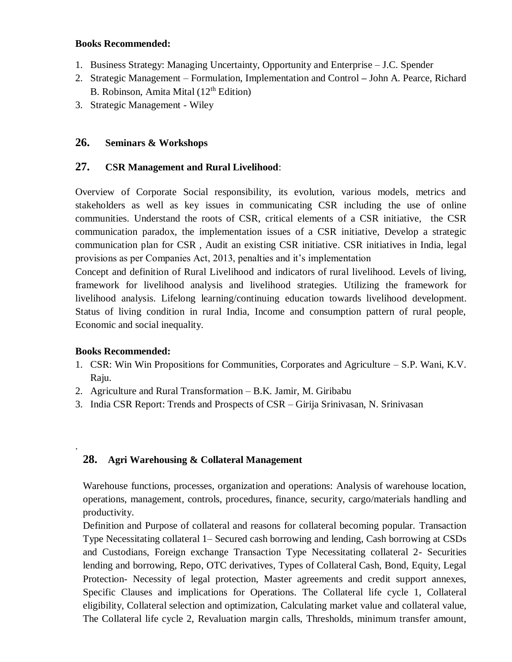#### **Books Recommended:**

- 1. Business Strategy: Managing Uncertainty, Opportunity and Enterprise J.C. Spender
- 2. Strategic Management Formulation, Implementation and Control **–** John A. Pearce, Richard B. Robinson, Amita Mital (12th Edition)
- 3. Strategic Management Wiley

### **26. Seminars & Workshops**

### **27. CSR Management and Rural Livelihood**:

Overview of Corporate Social responsibility, its evolution, various models, metrics and stakeholders as well as key issues in communicating CSR including the use of online communities. Understand the roots of CSR, critical elements of a CSR initiative, the CSR communication paradox, the implementation issues of a CSR initiative, Develop a strategic communication plan for CSR , Audit an existing CSR initiative. CSR initiatives in India, legal provisions as per Companies Act, 2013, penalties and it's implementation

Concept and definition of Rural Livelihood and indicators of rural livelihood. Levels of living, framework for livelihood analysis and livelihood strategies. Utilizing the framework for livelihood analysis. Lifelong learning/continuing education towards livelihood development. Status of living condition in rural India, Income and consumption pattern of rural people, Economic and social inequality.

#### **Books Recommended:**

.

- 1. CSR: Win Win Propositions for Communities, Corporates and Agriculture S.P. Wani, K.V. Raju.
- 2. Agriculture and Rural Transformation B.K. Jamir, M. Giribabu
- 3. India CSR Report: Trends and Prospects of CSR Girija Srinivasan, N. Srinivasan

# **28. Agri Warehousing & Collateral Management**

Warehouse functions, processes, organization and operations: Analysis of warehouse location, operations, management, controls, procedures, finance, security, cargo/materials handling and productivity.

Definition and Purpose of collateral and reasons for collateral becoming popular. Transaction Type Necessitating collateral 1– Secured cash borrowing and lending, Cash borrowing at CSDs and Custodians, Foreign exchange Transaction Type Necessitating collateral 2- Securities lending and borrowing, Repo, OTC derivatives, Types of Collateral Cash, Bond, Equity, Legal Protection- Necessity of legal protection, Master agreements and credit support annexes, Specific Clauses and implications for Operations. The Collateral life cycle 1, Collateral eligibility, Collateral selection and optimization, Calculating market value and collateral value, The Collateral life cycle 2, Revaluation margin calls, Thresholds, minimum transfer amount,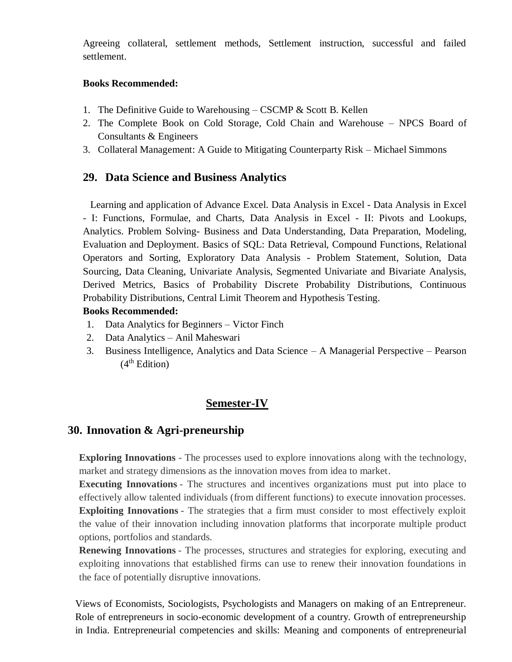Agreeing collateral, settlement methods, Settlement instruction, successful and failed settlement.

# **Books Recommended:**

- 1. The Definitive Guide to Warehousing CSCMP & Scott B. Kellen
- 2. The Complete Book on Cold Storage, Cold Chain and Warehouse NPCS Board of Consultants & Engineers
- 3. Collateral Management: A Guide to Mitigating Counterparty Risk Michael Simmons

# **29. Data Science and Business Analytics**

Learning and application of Advance Excel. Data Analysis in Excel - Data Analysis in Excel - I: Functions, Formulae, and Charts, Data Analysis in Excel - II: Pivots and Lookups, Analytics. Problem Solving- Business and Data Understanding, Data Preparation, Modeling, Evaluation and Deployment. Basics of SQL: Data Retrieval, Compound Functions, Relational Operators and Sorting, Exploratory Data Analysis - Problem Statement, Solution, Data Sourcing, Data Cleaning, Univariate Analysis, Segmented Univariate and Bivariate Analysis, Derived Metrics, Basics of Probability Discrete Probability Distributions, Continuous Probability Distributions, Central Limit Theorem and Hypothesis Testing.

# **Books Recommended:**

- 1. Data Analytics for Beginners Victor Finch
- 2. Data Analytics Anil Maheswari
- 3. Business Intelligence, Analytics and Data Science A Managerial Perspective Pearson  $(4<sup>th</sup> Edition)$

# **Semester-IV**

# **30. Innovation & Agri-preneurship**

**Exploring Innovations** - The processes used to explore innovations along with the technology, market and strategy dimensions as the innovation moves from idea to market.

**Executing Innovations** - The structures and incentives organizations must put into place to effectively allow talented individuals (from different functions) to execute innovation processes. **Exploiting Innovations** - The strategies that a firm must consider to most effectively exploit the value of their innovation including innovation platforms that incorporate multiple product options, portfolios and standards.

**Renewing Innovations** - The processes, structures and strategies for exploring, executing and exploiting innovations that established firms can use to renew their innovation foundations in the face of potentially disruptive innovations.

Views of Economists, Sociologists, Psychologists and Managers on making of an Entrepreneur. Role of entrepreneurs in socio-economic development of a country. Growth of entrepreneurship in India. Entrepreneurial competencies and skills: Meaning and components of entrepreneurial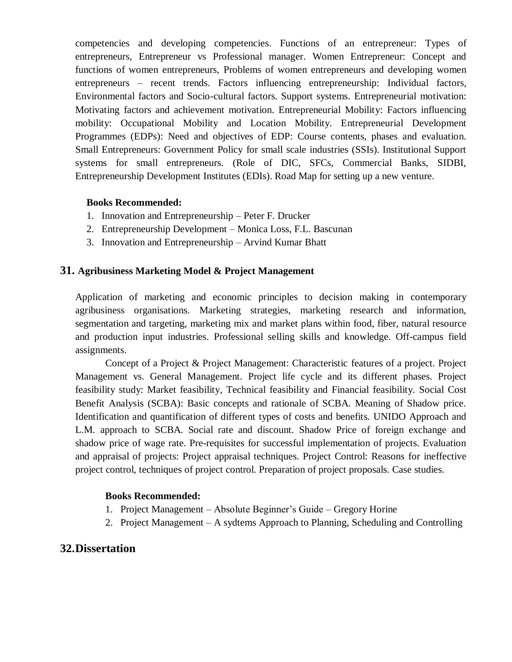competencies and developing competencies. Functions of an entrepreneur: Types of entrepreneurs, Entrepreneur vs Professional manager. Women Entrepreneur: Concept and functions of women entrepreneurs, Problems of women entrepreneurs and developing women entrepreneurs – recent trends. Factors influencing entrepreneurship: Individual factors, Environmental factors and Socio-cultural factors. Support systems. Entrepreneurial motivation: Motivating factors and achievement motivation. Entrepreneurial Mobility: Factors influencing mobility: Occupational Mobility and Location Mobility. Entrepreneurial Development Programmes (EDPs): Need and objectives of EDP: Course contents, phases and evaluation. Small Entrepreneurs: Government Policy for small scale industries (SSIs). Institutional Support systems for small entrepreneurs. (Role of DIC, SFCs, Commercial Banks, SIDBI, Entrepreneurship Development Institutes (EDIs). Road Map for setting up a new venture.

# **Books Recommended:**

- 1. Innovation and Entrepreneurship Peter F. Drucker
- 2. Entrepreneurship Development Monica Loss, F.L. Bascunan
- 3. Innovation and Entrepreneurship Arvind Kumar Bhatt

# **31. Agribusiness Marketing Model & Project Management**

Application of marketing and economic principles to decision making in contemporary agribusiness organisations. Marketing strategies, marketing research and information, segmentation and targeting, marketing mix and market plans within food, fiber, natural resource and production input industries. Professional selling skills and knowledge. Off-campus field assignments.

Concept of a Project & Project Management: Characteristic features of a project. Project Management vs. General Management. Project life cycle and its different phases. Project feasibility study: Market feasibility, Technical feasibility and Financial feasibility. Social Cost Benefit Analysis (SCBA): Basic concepts and rationale of SCBA. Meaning of Shadow price. Identification and quantification of different types of costs and benefits. UNIDO Approach and L.M. approach to SCBA. Social rate and discount. Shadow Price of foreign exchange and shadow price of wage rate. Pre-requisites for successful implementation of projects. Evaluation and appraisal of projects: Project appraisal techniques. Project Control: Reasons for ineffective project control, techniques of project control. Preparation of project proposals. Case studies.

#### **Books Recommended:**

- 1. Project Management Absolute Beginner's Guide Gregory Horine
- 2. Project Management A sydtems Approach to Planning, Scheduling and Controlling

# **32.Dissertation**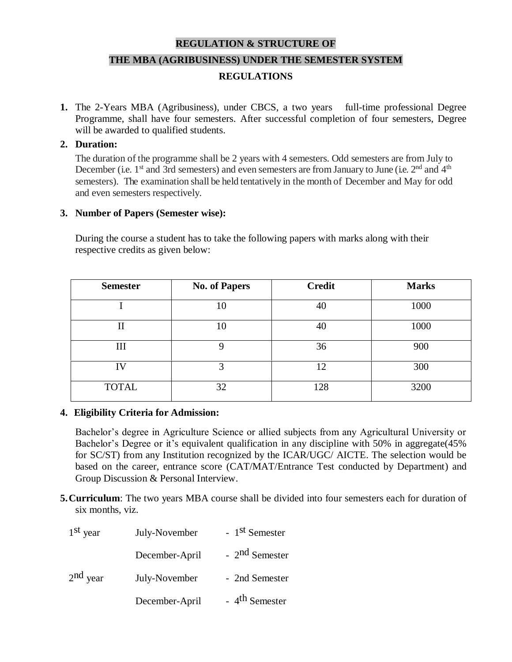# **REGULATION & STRUCTURE OF THE MBA (AGRIBUSINESS) UNDER THE SEMESTER SYSTEM REGULATIONS**

**1.** The 2-Years MBA (Agribusiness), under CBCS, a two years full-time professional Degree Programme, shall have four semesters. After successful completion of four semesters, Degree will be awarded to qualified students.

#### **2. Duration:**

The duration of the programme shall be 2 years with 4 semesters. Odd semesters are from July to December (i.e. 1<sup>st</sup> and 3rd semesters) and even semesters are from January to June (i.e. 2<sup>nd</sup> and 4<sup>th</sup> semesters). The examination shall be held tentatively in the month of December and May for odd and even semesters respectively.

### **3. Number of Papers (Semester wise):**

During the course a student has to take the following papers with marks along with their respective credits as given below:

| <b>Semester</b> | <b>No. of Papers</b> | <b>Credit</b> | <b>Marks</b> |
|-----------------|----------------------|---------------|--------------|
|                 | 10                   | 40            | 1000         |
| $\mathbf{I}$    | 10                   | 40            | 1000         |
| III             | 9                    | 36            | 900          |
| IV              | 3                    | 12            | 300          |
| <b>TOTAL</b>    | 32                   | 128           | 3200         |

#### **4. Eligibility Criteria for Admission:**

Bachelor's degree in Agriculture Science or allied subjects from any Agricultural University or Bachelor's Degree or it's equivalent qualification in any discipline with 50% in aggregate(45% for SC/ST) from any Institution recognized by the ICAR/UGC/ AICTE. The selection would be based on the career, entrance score (CAT/MAT/Entrance Test conducted by Department) and Group Discussion & Personal Interview.

**5.Curriculum**: The two years MBA course shall be divided into four semesters each for duration of six months, viz.

| $1st$ year<br>July-November |                | - 1 <sup>st</sup> Semester |  |  |
|-----------------------------|----------------|----------------------------|--|--|
|                             | December-April | $-2nd$ Semester            |  |  |
| $2nd$ year                  | July-November  | - 2nd Semester             |  |  |
|                             | December-April | - 4 <sup>th</sup> Semester |  |  |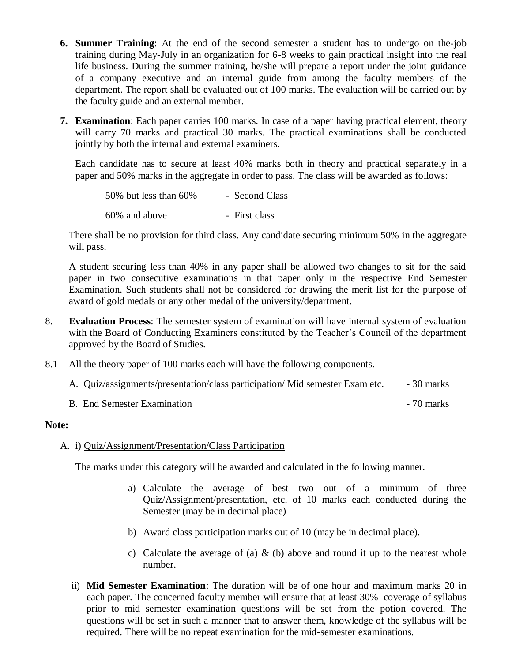- **6. Summer Training**: At the end of the second semester a student has to undergo on the-job training during May-July in an organization for 6-8 weeks to gain practical insight into the real life business. During the summer training, he/she will prepare a report under the joint guidance of a company executive and an internal guide from among the faculty members of the department. The report shall be evaluated out of 100 marks. The evaluation will be carried out by the faculty guide and an external member.
- **7. Examination**: Each paper carries 100 marks. In case of a paper having practical element, theory will carry 70 marks and practical 30 marks. The practical examinations shall be conducted jointly by both the internal and external examiners.

Each candidate has to secure at least 40% marks both in theory and practical separately in a paper and 50% marks in the aggregate in order to pass. The class will be awarded as follows:

| 50% but less than 60% | - Second Class |
|-----------------------|----------------|
| 60% and above         | - First class  |

There shall be no provision for third class. Any candidate securing minimum 50% in the aggregate will pass.

A student securing less than 40% in any paper shall be allowed two changes to sit for the said paper in two consecutive examinations in that paper only in the respective End Semester Examination. Such students shall not be considered for drawing the merit list for the purpose of award of gold medals or any other medal of the university/department.

- 8. **Evaluation Process**: The semester system of examination will have internal system of evaluation with the Board of Conducting Examiners constituted by the Teacher's Council of the department approved by the Board of Studies.
- 8.1 All the theory paper of 100 marks each will have the following components.
	- A. Quiz/assignments/presentation/class participation/ Mid semester Exam etc. 30 marks

B. End Semester Examination - 70 marks

#### **Note:**

#### A. i) Quiz/Assignment/Presentation/Class Participation

The marks under this category will be awarded and calculated in the following manner.

- a) Calculate the average of best two out of a minimum of three Quiz/Assignment/presentation, etc. of 10 marks each conducted during the Semester (may be in decimal place)
- b) Award class participation marks out of 10 (may be in decimal place).
- c) Calculate the average of (a)  $\&$  (b) above and round it up to the nearest whole number.
- ii) **Mid Semester Examination**: The duration will be of one hour and maximum marks 20 in each paper. The concerned faculty member will ensure that at least 30% coverage of syllabus prior to mid semester examination questions will be set from the potion covered. The questions will be set in such a manner that to answer them, knowledge of the syllabus will be required. There will be no repeat examination for the mid-semester examinations.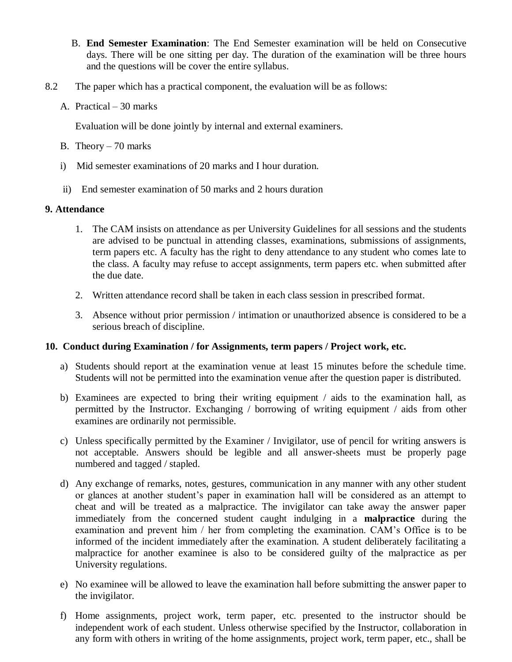- B. **End Semester Examination**: The End Semester examination will be held on Consecutive days. There will be one sitting per day. The duration of the examination will be three hours and the questions will be cover the entire syllabus.
- 8.2 The paper which has a practical component, the evaluation will be as follows:
	- A. Practical 30 marks

Evaluation will be done jointly by internal and external examiners.

- B. Theory 70 marks
- i) Mid semester examinations of 20 marks and I hour duration.
- ii) End semester examination of 50 marks and 2 hours duration

### **9. Attendance**

- 1. The CAM insists on attendance as per University Guidelines for all sessions and the students are advised to be punctual in attending classes, examinations, submissions of assignments, term papers etc. A faculty has the right to deny attendance to any student who comes late to the class. A faculty may refuse to accept assignments, term papers etc. when submitted after the due date.
- 2. Written attendance record shall be taken in each class session in prescribed format.
- 3. Absence without prior permission / intimation or unauthorized absence is considered to be a serious breach of discipline.

#### **10. Conduct during Examination / for Assignments, term papers / Project work, etc.**

- a) Students should report at the examination venue at least 15 minutes before the schedule time. Students will not be permitted into the examination venue after the question paper is distributed.
- b) Examinees are expected to bring their writing equipment / aids to the examination hall, as permitted by the Instructor. Exchanging / borrowing of writing equipment / aids from other examines are ordinarily not permissible.
- c) Unless specifically permitted by the Examiner / Invigilator, use of pencil for writing answers is not acceptable. Answers should be legible and all answer-sheets must be properly page numbered and tagged / stapled.
- d) Any exchange of remarks, notes, gestures, communication in any manner with any other student or glances at another student's paper in examination hall will be considered as an attempt to cheat and will be treated as a malpractice. The invigilator can take away the answer paper immediately from the concerned student caught indulging in a **malpractice** during the examination and prevent him / her from completing the examination. CAM's Office is to be informed of the incident immediately after the examination. A student deliberately facilitating a malpractice for another examinee is also to be considered guilty of the malpractice as per University regulations.
- e) No examinee will be allowed to leave the examination hall before submitting the answer paper to the invigilator.
- f) Home assignments, project work, term paper, etc. presented to the instructor should be independent work of each student. Unless otherwise specified by the Instructor, collaboration in any form with others in writing of the home assignments, project work, term paper, etc., shall be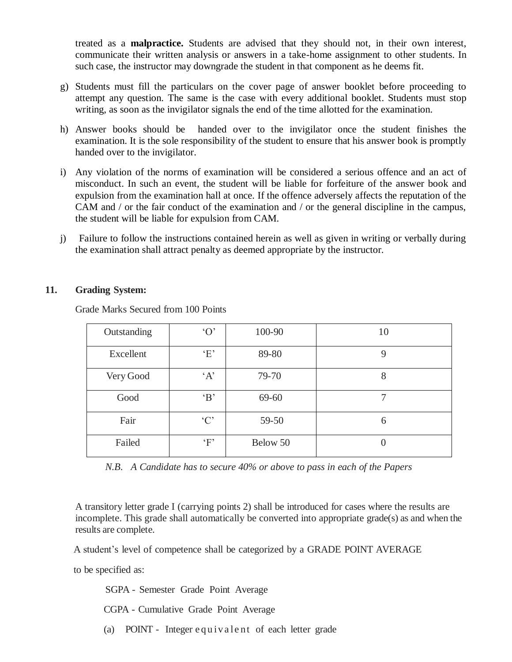treated as a **malpractice.** Students are advised that they should not, in their own interest, communicate their written analysis or answers in a take-home assignment to other students. In such case, the instructor may downgrade the student in that component as he deems fit.

- g) Students must fill the particulars on the cover page of answer booklet before proceeding to attempt any question. The same is the case with every additional booklet. Students must stop writing, as soon as the invigilator signals the end of the time allotted for the examination.
- h) Answer books should be handed over to the invigilator once the student finishes the examination. It is the sole responsibility of the student to ensure that his answer book is promptly handed over to the invigilator.
- i) Any violation of the norms of examination will be considered a serious offence and an act of misconduct. In such an event, the student will be liable for forfeiture of the answer book and expulsion from the examination hall at once. If the offence adversely affects the reputation of the CAM and / or the fair conduct of the examination and / or the general discipline in the campus, the student will be liable for expulsion from CAM.
- j) Failure to follow the instructions contained herein as well as given in writing or verbally during the examination shall attract penalty as deemed appropriate by the instructor.

#### **11. Grading System:**

Grade Marks Secured from 100 Points

| Outstanding | $\Omega$  | 100-90   | 10 |
|-------------|-----------|----------|----|
| Excellent   | E         | 89-80    | 9  |
| Very Good   | A         | 79-70    | 8  |
| Good        | $\cdot$ B | 69-60    |    |
| Fair        | °C        | 59-50    | 6  |
| Failed      | $\cdot_F$ | Below 50 |    |

*N.B. A Candidate has to secure 40% or above to pass in each of the Papers*

A transitory letter grade I (carrying points 2) shall be introduced for cases where the results are incomplete. This grade shall automatically be converted into appropriate grade(s) as and when the results are complete.

A student's level of competence shall be categorized by a GRADE POINT AVERAGE

to be specified as:

SGPA - Semester Grade Point Average

CGPA - Cumulative Grade Point Average

(a) POINT - Integer equivalent of each letter grade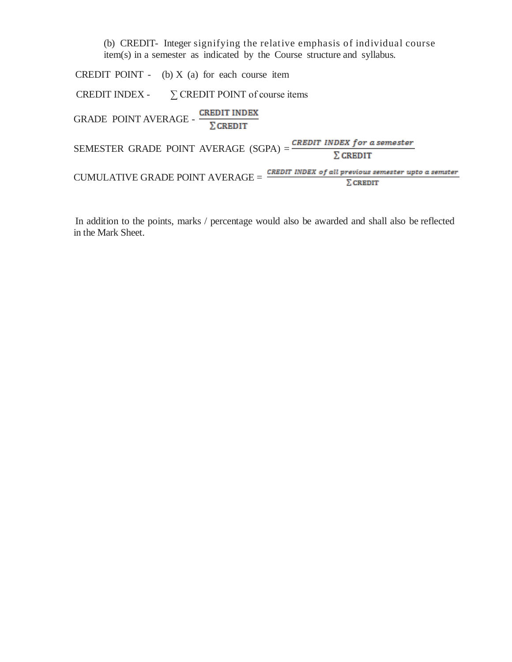(b) CREDIT- Integer signifying the relative emphasis of individual course item(s) in a semester as indicated by the Course structure and syllabus.

CREDIT POINT - (b)  $X$  (a) for each course item CREDIT INDEX -  $\Sigma$  CREDIT POINT of course items GRADE POINT AVERAGE -  $\frac{\text{CREDIT INDEX}}{\sum \text{CREDIT}}$ SEMESTER GRADE POINT AVERAGE  $(SGPA) = \frac{CREDIT \; INDEX \; for \; a \; semester}{\sum \; CREDIT}$  $\text{CUMULATIVE GRAPHE} \text{ CRADE POINT AVERAGE} = \frac{\text{CREDIT INDEX of all previous semester up to a semester}}{\sum \text{CREDIT}}$ 

In addition to the points, marks / percentage would also be awarded and shall also be reflected in the Mark Sheet.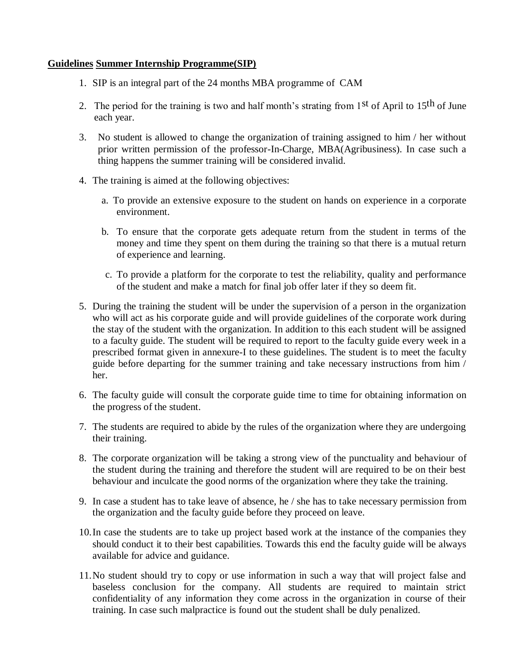### **Guidelines Summer Internship Programme(SIP)**

- 1. SIP is an integral part of the 24 months MBA programme of CAM
- 2. The period for the training is two and half month's strating from  $1<sup>st</sup>$  of April to  $15<sup>th</sup>$  of June each year.
- 3. No student is allowed to change the organization of training assigned to him / her without prior written permission of the professor-In-Charge, MBA(Agribusiness). In case such a thing happens the summer training will be considered invalid.
- 4. The training is aimed at the following objectives:
	- a. To provide an extensive exposure to the student on hands on experience in a corporate environment.
	- b. To ensure that the corporate gets adequate return from the student in terms of the money and time they spent on them during the training so that there is a mutual return of experience and learning.
	- c. To provide a platform for the corporate to test the reliability, quality and performance of the student and make a match for final job offer later if they so deem fit.
- 5. During the training the student will be under the supervision of a person in the organization who will act as his corporate guide and will provide guidelines of the corporate work during the stay of the student with the organization. In addition to this each student will be assigned to a faculty guide. The student will be required to report to the faculty guide every week in a prescribed format given in annexure-I to these guidelines. The student is to meet the faculty guide before departing for the summer training and take necessary instructions from him / her.
- 6. The faculty guide will consult the corporate guide time to time for obtaining information on the progress of the student.
- 7. The students are required to abide by the rules of the organization where they are undergoing their training.
- 8. The corporate organization will be taking a strong view of the punctuality and behaviour of the student during the training and therefore the student will are required to be on their best behaviour and inculcate the good norms of the organization where they take the training.
- 9. In case a student has to take leave of absence, he / she has to take necessary permission from the organization and the faculty guide before they proceed on leave.
- 10.In case the students are to take up project based work at the instance of the companies they should conduct it to their best capabilities. Towards this end the faculty guide will be always available for advice and guidance.
- 11.No student should try to copy or use information in such a way that will project false and baseless conclusion for the company. All students are required to maintain strict confidentiality of any information they come across in the organization in course of their training. In case such malpractice is found out the student shall be duly penalized.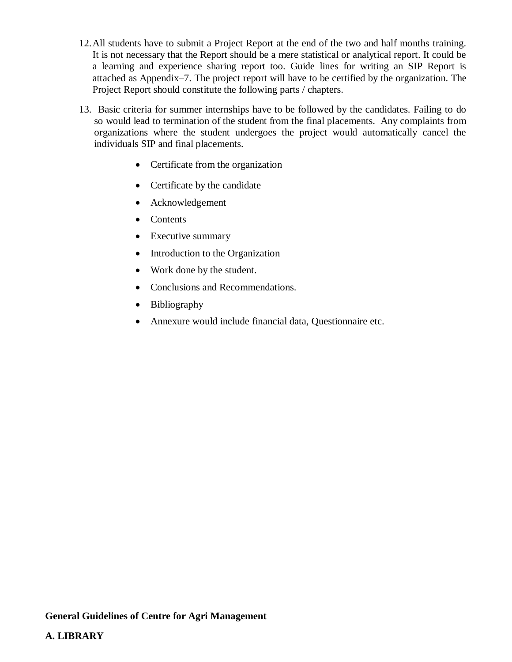- 12.All students have to submit a Project Report at the end of the two and half months training. It is not necessary that the Report should be a mere statistical or analytical report. It could be a learning and experience sharing report too. Guide lines for writing an SIP Report is attached as Appendix–7. The project report will have to be certified by the organization. The Project Report should constitute the following parts / chapters.
- 13. Basic criteria for summer internships have to be followed by the candidates. Failing to do so would lead to termination of the student from the final placements. Any complaints from organizations where the student undergoes the project would automatically cancel the individuals SIP and final placements.
	- Certificate from the organization
	- Certificate by the candidate
	- Acknowledgement
	- Contents
	- Executive summary
	- Introduction to the Organization
	- Work done by the student.
	- Conclusions and Recommendations.
	- Bibliography
	- Annexure would include financial data, Questionnaire etc.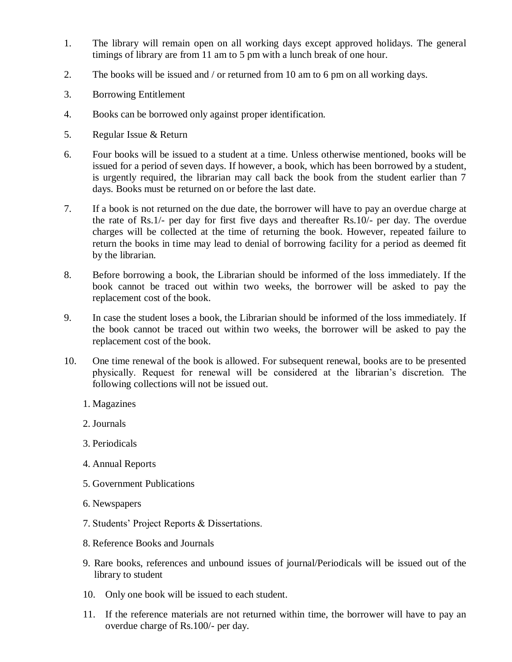- 1. The library will remain open on all working days except approved holidays. The general timings of library are from 11 am to 5 pm with a lunch break of one hour.
- 2. The books will be issued and / or returned from 10 am to 6 pm on all working days.
- 3. Borrowing Entitlement
- 4. Books can be borrowed only against proper identification.
- 5. Regular Issue & Return
- 6. Four books will be issued to a student at a time. Unless otherwise mentioned, books will be issued for a period of seven days. If however, a book, which has been borrowed by a student, is urgently required, the librarian may call back the book from the student earlier than 7 days. Books must be returned on or before the last date.
- 7. If a book is not returned on the due date, the borrower will have to pay an overdue charge at the rate of Rs.1/- per day for first five days and thereafter Rs.10/- per day. The overdue charges will be collected at the time of returning the book. However, repeated failure to return the books in time may lead to denial of borrowing facility for a period as deemed fit by the librarian.
- 8. Before borrowing a book, the Librarian should be informed of the loss immediately. If the book cannot be traced out within two weeks, the borrower will be asked to pay the replacement cost of the book.
- 9. In case the student loses a book, the Librarian should be informed of the loss immediately. If the book cannot be traced out within two weeks, the borrower will be asked to pay the replacement cost of the book.
- 10. One time renewal of the book is allowed. For subsequent renewal, books are to be presented physically. Request for renewal will be considered at the librarian's discretion. The following collections will not be issued out.
	- 1. Magazines
	- 2. Journals
	- 3. Periodicals
	- 4. Annual Reports
	- 5. Government Publications
	- 6. Newspapers
	- 7. Students' Project Reports & Dissertations.
	- 8. Reference Books and Journals
	- 9. Rare books, references and unbound issues of journal/Periodicals will be issued out of the library to student
	- 10. Only one book will be issued to each student.
	- 11. If the reference materials are not returned within time, the borrower will have to pay an overdue charge of Rs.100/- per day.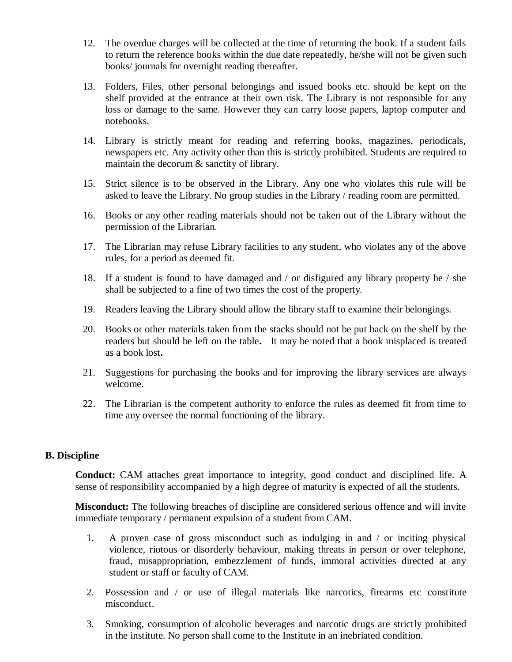- 12. The overdue charges will be collected at the time of returning the book. If a student fails to return the reference books within the due date repeatedly, he/she will not be given such books/ journals for overnight reading thereafter.
- 13. Folders, Files, other personal belongings and issued books etc. should be kept on the shelf provided at the entrance at their own risk. The Library is not responsible for any loss or damage to the same. However they can carry loose papers, laptop computer and notebooks.
- 14. Library is strictly meant for reading and referring books, magazines, periodicals, newspapers etc. Any activity other than this is strictly prohibited. Students are required to maintain the decorum & sanctity of library.
- 15. Strict silence is to be observed in the Library. Any one who violates this rule will be asked to leave the Library. No group studies in the Library / reading room are permitted.
- 16. Books or any other reading materials should not be taken out of the Library without the permission of the Librarian.
- 17. The Librarian may refuse Library facilities to any student, who violates any of the above rules, for a period as deemed fit.
- 18. If a student is found to have damaged and / or disfigured any library property he / she shall be subjected to a fine of two times the cost of the property.
- 19. Readers leaving the Library should allow the library staff to examine their belongings.
- 20. Books or other materials taken from the stacks should not be put back on the shelf by the readers but should be left on the table**.** It may be noted that a book misplaced is treated as a book lost**.**
- 21. Suggestions for purchasing the books and for improving the library services are always welcome.
- 22. The Librarian is the competent authority to enforce the rules as deemed fit from time to time any oversee the normal functioning of the library.

#### **B. Discipline**

**Conduct:** CAM attaches great importance to integrity, good conduct and disciplined life. A sense of responsibility accompanied by a high degree of maturity is expected of all the students.

**Misconduct:** The following breaches of discipline are considered serious offence and will invite immediate temporary / permanent expulsion of a student from CAM.

- 1. A proven case of gross misconduct such as indulging in and / or inciting physical violence, riotous or disorderly behaviour, making threats in person or over telephone, fraud, misappropriation, embezzlement of funds, immoral activities directed at any student or staff or faculty of CAM.
- 2. Possession and / or use of illegal materials like narcotics, firearms etc constitute misconduct.
- 3. Smoking, consumption of alcoholic beverages and narcotic drugs are strictly prohibited in the institute. No person shall come to the Institute in an inebriated condition.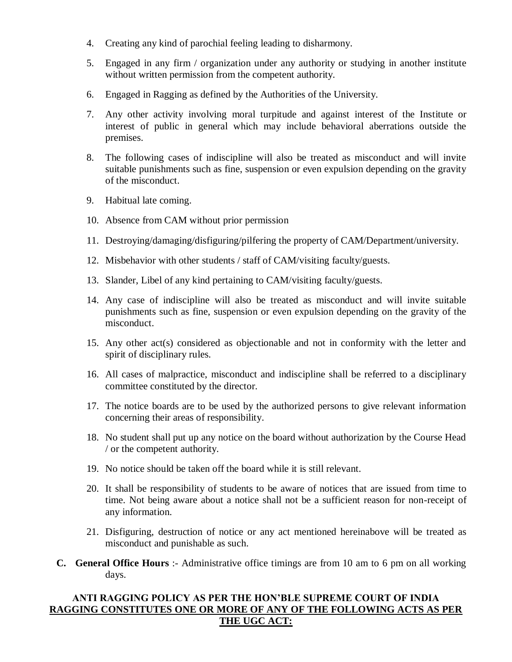- 4. Creating any kind of parochial feeling leading to disharmony.
- 5. Engaged in any firm / organization under any authority or studying in another institute without written permission from the competent authority.
- 6. Engaged in Ragging as defined by the Authorities of the University.
- 7. Any other activity involving moral turpitude and against interest of the Institute or interest of public in general which may include behavioral aberrations outside the premises.
- 8. The following cases of indiscipline will also be treated as misconduct and will invite suitable punishments such as fine, suspension or even expulsion depending on the gravity of the misconduct.
- 9. Habitual late coming.
- 10. Absence from CAM without prior permission
- 11. Destroying/damaging/disfiguring/pilfering the property of CAM/Department/university.
- 12. Misbehavior with other students / staff of CAM/visiting faculty/guests.
- 13. Slander, Libel of any kind pertaining to CAM/visiting faculty/guests.
- 14. Any case of indiscipline will also be treated as misconduct and will invite suitable punishments such as fine, suspension or even expulsion depending on the gravity of the misconduct.
- 15. Any other act(s) considered as objectionable and not in conformity with the letter and spirit of disciplinary rules.
- 16. All cases of malpractice, misconduct and indiscipline shall be referred to a disciplinary committee constituted by the director.
- 17. The notice boards are to be used by the authorized persons to give relevant information concerning their areas of responsibility.
- 18. No student shall put up any notice on the board without authorization by the Course Head / or the competent authority.
- 19. No notice should be taken off the board while it is still relevant.
- 20. It shall be responsibility of students to be aware of notices that are issued from time to time. Not being aware about a notice shall not be a sufficient reason for non-receipt of any information.
- 21. Disfiguring, destruction of notice or any act mentioned hereinabove will be treated as misconduct and punishable as such.
- **C. General Office Hours** :- Administrative office timings are from 10 am to 6 pm on all working days.

# **ANTI RAGGING POLICY AS PER THE HON'BLE SUPREME COURT OF INDIA RAGGING CONSTITUTES ONE OR MORE OF ANY OF THE FOLLOWING ACTS AS PER THE UGC ACT:**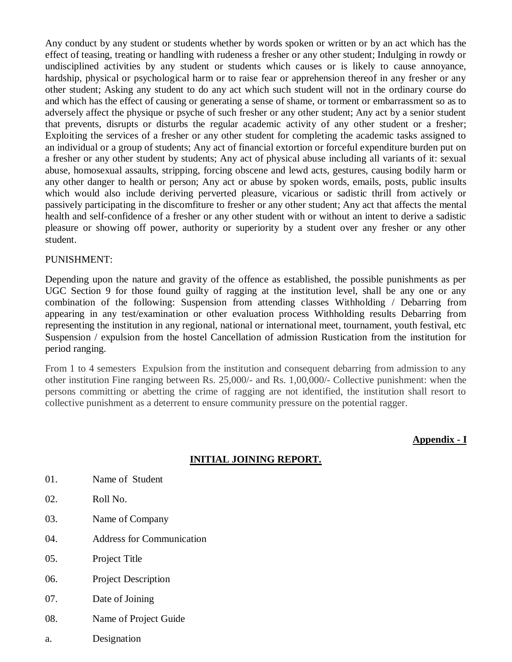Any conduct by any student or students whether by words spoken or written or by an act which has the effect of teasing, treating or handling with rudeness a fresher or any other student; Indulging in rowdy or undisciplined activities by any student or students which causes or is likely to cause annoyance, hardship, physical or psychological harm or to raise fear or apprehension thereof in any fresher or any other student; Asking any student to do any act which such student will not in the ordinary course do and which has the effect of causing or generating a sense of shame, or torment or embarrassment so as to adversely affect the physique or psyche of such fresher or any other student; Any act by a senior student that prevents, disrupts or disturbs the regular academic activity of any other student or a fresher; Exploiting the services of a fresher or any other student for completing the academic tasks assigned to an individual or a group of students; Any act of financial extortion or forceful expenditure burden put on a fresher or any other student by students; Any act of physical abuse including all variants of it: sexual abuse, homosexual assaults, stripping, forcing obscene and lewd acts, gestures, causing bodily harm or any other danger to health or person; Any act or abuse by spoken words, emails, posts, public insults which would also include deriving perverted pleasure, vicarious or sadistic thrill from actively or passively participating in the discomfiture to fresher or any other student; Any act that affects the mental health and self-confidence of a fresher or any other student with or without an intent to derive a sadistic pleasure or showing off power, authority or superiority by a student over any fresher or any other student.

#### PUNISHMENT:

Depending upon the nature and gravity of the offence as established, the possible punishments as per UGC Section 9 for those found guilty of ragging at the institution level, shall be any one or any combination of the following: Suspension from attending classes Withholding / Debarring from appearing in any test/examination or other evaluation process Withholding results Debarring from representing the institution in any regional, national or international meet, tournament, youth festival, etc Suspension / expulsion from the hostel Cancellation of admission Rustication from the institution for period ranging.

From 1 to 4 semesters Expulsion from the institution and consequent debarring from admission to any other institution Fine ranging between Rs. 25,000/- and Rs. 1,00,000/- Collective punishment: when the persons committing or abetting the crime of ragging are not identified, the institution shall resort to collective punishment as a deterrent to ensure community pressure on the potential ragger.

**Appendix - I**

# **INITIAL JOINING REPORT.**

- 01. Name of Student
- 02. Roll No.
- 03. Name of Company
- 04. Address for Communication
- 05. Project Title
- 06. Project Description
- 07. Date of Joining
- 08. Name of Project Guide
- a. Designation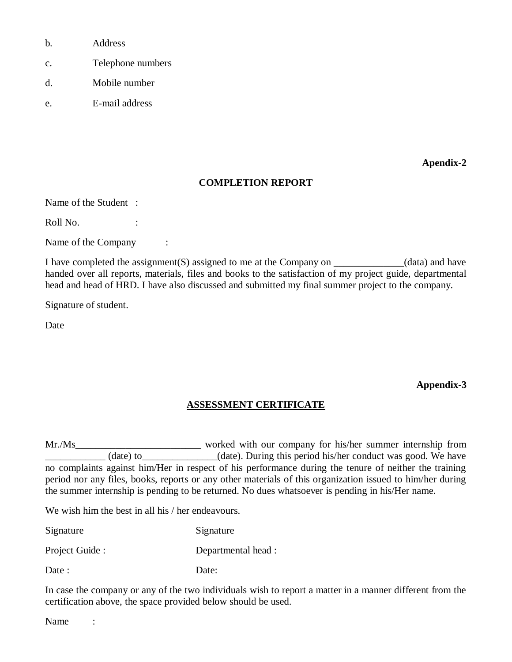- b. Address
- c. Telephone numbers
- d. Mobile number
- e. E-mail address

**Apendix-2**

#### **COMPLETION REPORT**

Name of the Student :

Roll No. :

Name of the Company :

I have completed the assignment(S) assigned to me at the Company on \_\_\_\_\_\_\_\_\_\_\_\_\_\_(data) and have handed over all reports, materials, files and books to the satisfaction of my project guide, departmental head and head of HRD. I have also discussed and submitted my final summer project to the company.

Signature of student.

Date

**Appendix-3** 

# **ASSESSMENT CERTIFICATE**

Mr./Ms (date) to (date). During this period his/her conduct was good. We have no complaints against him/Her in respect of his performance during the tenure of neither the training period nor any files, books, reports or any other materials of this organization issued to him/her during the summer internship is pending to be returned. No dues whatsoever is pending in his/Her name.

We wish him the best in all his / her endeavours.

Signature Signature

Project Guide : Departmental head :

Date: Date:

In case the company or any of the two individuals wish to report a matter in a manner different from the certification above, the space provided below should be used.

Name :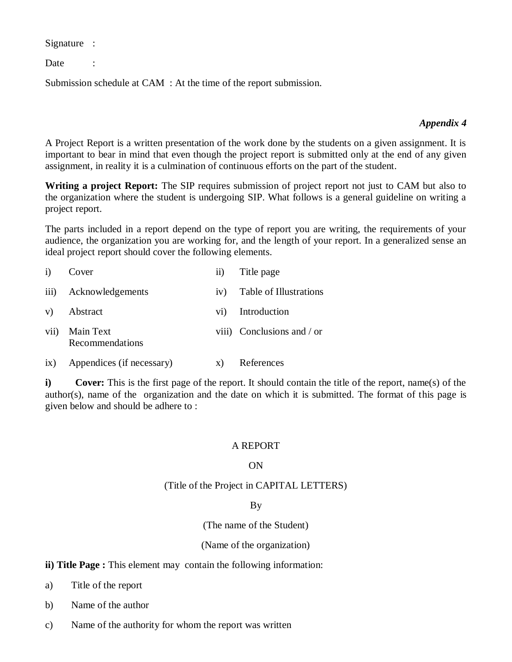Signature :

Date :

Submission schedule at CAM : At the time of the report submission.

#### *Appendix 4*

A Project Report is a written presentation of the work done by the students on a given assignment. It is important to bear in mind that even though the project report is submitted only at the end of any given assignment, in reality it is a culmination of continuous efforts on the part of the student.

**Writing a project Report:** The SIP requires submission of project report not just to CAM but also to the organization where the student is undergoing SIP. What follows is a general guideline on writing a project report.

The parts included in a report depend on the type of report you are writing, the requirements of your audience, the organization you are working for, and the length of your report. In a generalized sense an ideal project report should cover the following elements.

| i)   | Cover                        | $\overline{11}$ | Title page                 |
|------|------------------------------|-----------------|----------------------------|
|      | iii) Acknowledgements        | iv)             | Table of Illustrations     |
|      | v) Abstract                  |                 | vi) Introduction           |
| vii) | Main Text<br>Recommendations |                 | viii) Conclusions and / or |

ix) Appendices (if necessary) x) References

**i) Cover:** This is the first page of the report. It should contain the title of the report, name(s) of the author(s), name of the organization and the date on which it is submitted. The format of this page is given below and should be adhere to :

#### A REPORT

#### ON

#### (Title of the Project in CAPITAL LETTERS)

#### By

(The name of the Student)

#### (Name of the organization)

#### **ii) Title Page :** This element may contain the following information:

- a) Title of the report
- b) Name of the author
- c) Name of the authority for whom the report was written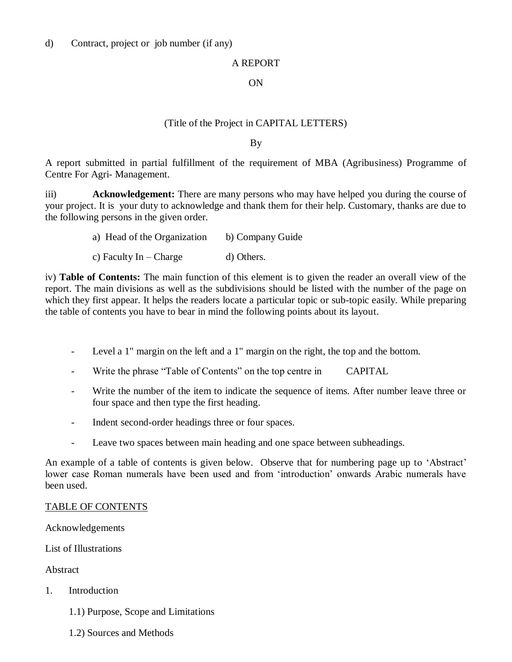#### A REPORT

#### ON

#### (Title of the Project in CAPITAL LETTERS)

By

A report submitted in partial fulfillment of the requirement of MBA (Agribusiness) Programme of Centre For Agri- Management.

iii) **Acknowledgement:** There are many persons who may have helped you during the course of your project. It is your duty to acknowledge and thank them for their help. Customary, thanks are due to the following persons in the given order.

- a) Head of the Organization b) Company Guide
- c) Faculty  $In Charge$  d) Others.

iv) **Table of Contents:** The main function of this element is to given the reader an overall view of the report. The main divisions as well as the subdivisions should be listed with the number of the page on which they first appear. It helps the readers locate a particular topic or sub-topic easily. While preparing the table of contents you have to bear in mind the following points about its layout.

- Level a 1" margin on the left and a 1" margin on the right, the top and the bottom.
- Write the phrase "Table of Contents" on the top centre in CAPITAL
- Write the number of the item to indicate the sequence of items. After number leave three or four space and then type the first heading.
- Indent second-order headings three or four spaces.
- Leave two spaces between main heading and one space between subheadings.

An example of a table of contents is given below. Observe that for numbering page up to 'Abstract' lower case Roman numerals have been used and from 'introduction' onwards Arabic numerals have been used.

#### TABLE OF CONTENTS

Acknowledgements

List of Illustrations

Abstract

- 1. Introduction
	- 1.1) Purpose, Scope and Limitations
	- 1.2) Sources and Methods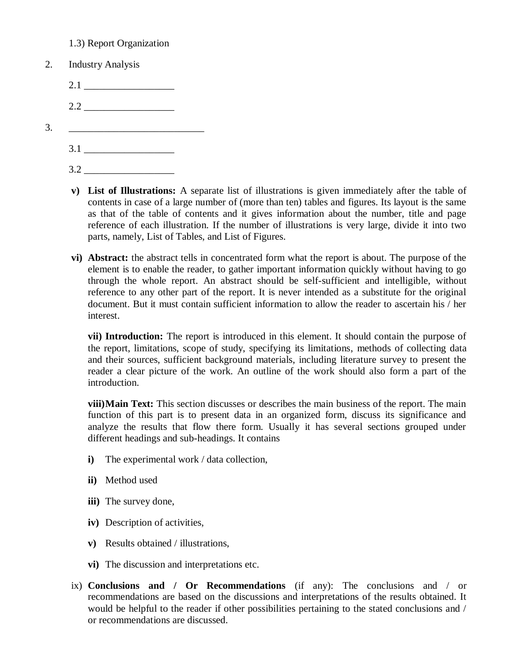- 1.3) Report Organization
- 2. Industry Analysis
	- 2.1
	- 2.2
- 3. \_\_\_\_\_\_\_\_\_\_\_\_\_\_\_\_\_\_\_\_\_\_\_\_\_\_\_
	- $3.1$
	- 3.2 \_\_\_\_\_\_\_\_\_\_\_\_\_\_\_\_\_\_
	- **v) List of Illustrations:** A separate list of illustrations is given immediately after the table of contents in case of a large number of (more than ten) tables and figures. Its layout is the same as that of the table of contents and it gives information about the number, title and page reference of each illustration. If the number of illustrations is very large, divide it into two parts, namely, List of Tables, and List of Figures.
	- **vi) Abstract:** the abstract tells in concentrated form what the report is about. The purpose of the element is to enable the reader, to gather important information quickly without having to go through the whole report. An abstract should be self-sufficient and intelligible, without reference to any other part of the report. It is never intended as a substitute for the original document. But it must contain sufficient information to allow the reader to ascertain his / her interest.

**vii) Introduction:** The report is introduced in this element. It should contain the purpose of the report, limitations, scope of study, specifying its limitations, methods of collecting data and their sources, sufficient background materials, including literature survey to present the reader a clear picture of the work. An outline of the work should also form a part of the introduction.

**viii)Main Text:** This section discusses or describes the main business of the report. The main function of this part is to present data in an organized form, discuss its significance and analyze the results that flow there form. Usually it has several sections grouped under different headings and sub-headings. It contains

- **i)** The experimental work / data collection,
- **ii)** Method used
- **iii)** The survey done,
- **iv)** Description of activities,
- **v)** Results obtained / illustrations,
- **vi)** The discussion and interpretations etc.
- ix) **Conclusions and / Or Recommendations** (if any): The conclusions and / or recommendations are based on the discussions and interpretations of the results obtained. It would be helpful to the reader if other possibilities pertaining to the stated conclusions and / or recommendations are discussed.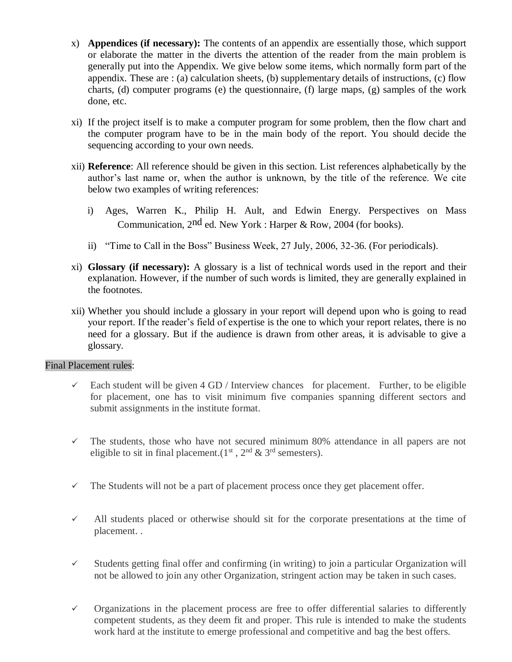- x) **Appendices (if necessary):** The contents of an appendix are essentially those, which support or elaborate the matter in the diverts the attention of the reader from the main problem is generally put into the Appendix. We give below some items, which normally form part of the appendix. These are : (a) calculation sheets, (b) supplementary details of instructions, (c) flow charts, (d) computer programs (e) the questionnaire, (f) large maps, (g) samples of the work done, etc.
- xi) If the project itself is to make a computer program for some problem, then the flow chart and the computer program have to be in the main body of the report. You should decide the sequencing according to your own needs.
- xii) **Reference**: All reference should be given in this section. List references alphabetically by the author's last name or, when the author is unknown, by the title of the reference. We cite below two examples of writing references:
	- i) Ages, Warren K., Philip H. Ault, and Edwin Energy. Perspectives on Mass Communication, 2nd ed. New York : Harper & Row, 2004 (for books).
	- ii) "Time to Call in the Boss" Business Week, 27 July, 2006, 32-36. (For periodicals).
- xi) **Glossary (if necessary):** A glossary is a list of technical words used in the report and their explanation. However, if the number of such words is limited, they are generally explained in the footnotes.
- xii) Whether you should include a glossary in your report will depend upon who is going to read your report. If the reader's field of expertise is the one to which your report relates, there is no need for a glossary. But if the audience is drawn from other areas, it is advisable to give a glossary.

#### Final Placement rules:

- $\checkmark$  Each student will be given 4 GD / Interview chances for placement. Further, to be eligible for placement, one has to visit minimum five companies spanning different sectors and submit assignments in the institute format.
- $\checkmark$  The students, those who have not secured minimum 80% attendance in all papers are not eligible to sit in final placement.( $1<sup>st</sup>$ ,  $2<sup>nd</sup>$  &  $3<sup>rd</sup>$  semesters).
- $\checkmark$  The Students will not be a part of placement process once they get placement offer.
- $\checkmark$  All students placed or otherwise should sit for the corporate presentations at the time of placement. .
- $\checkmark$  Students getting final offer and confirming (in writing) to join a particular Organization will not be allowed to join any other Organization, stringent action may be taken in such cases.
- $\checkmark$  Organizations in the placement process are free to offer differential salaries to differently competent students, as they deem fit and proper. This rule is intended to make the students work hard at the institute to emerge professional and competitive and bag the best offers.